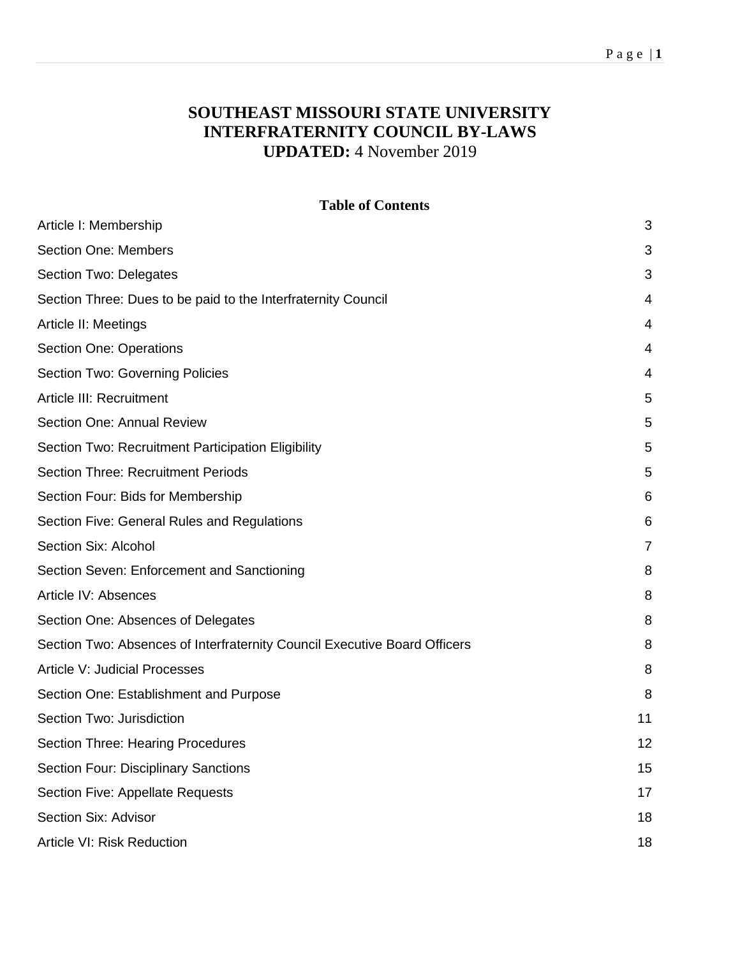## P a g e | **1**

# **SOUTHEAST MISSOURI STATE UNIVERSITY INTERFRATERNITY COUNCIL BY-LAWS UPDATED:** 4 November 2019

#### **Table of Contents**

| Article I: Membership                                                     | 3              |
|---------------------------------------------------------------------------|----------------|
| <b>Section One: Members</b>                                               | 3              |
| Section Two: Delegates                                                    | 3              |
| Section Three: Dues to be paid to the Interfraternity Council             | 4              |
| Article II: Meetings                                                      | 4              |
| <b>Section One: Operations</b>                                            | 4              |
| <b>Section Two: Governing Policies</b>                                    | $\overline{4}$ |
| Article III: Recruitment                                                  | 5              |
| <b>Section One: Annual Review</b>                                         | 5              |
| Section Two: Recruitment Participation Eligibility                        | 5              |
| <b>Section Three: Recruitment Periods</b>                                 | 5              |
| Section Four: Bids for Membership                                         | 6              |
| Section Five: General Rules and Regulations                               | 6              |
| Section Six: Alcohol                                                      | 7              |
| Section Seven: Enforcement and Sanctioning                                | 8              |
| Article IV: Absences                                                      | 8              |
| Section One: Absences of Delegates                                        | 8              |
| Section Two: Absences of Interfraternity Council Executive Board Officers | 8              |
| <b>Article V: Judicial Processes</b>                                      | 8              |
| Section One: Establishment and Purpose                                    | 8              |
| Section Two: Jurisdiction                                                 | 11             |
| <b>Section Three: Hearing Procedures</b>                                  | 12             |
| <b>Section Four: Disciplinary Sanctions</b>                               | 15             |
| <b>Section Five: Appellate Requests</b>                                   | 17             |
| Section Six: Advisor                                                      | 18             |
| Article VI: Risk Reduction                                                | 18             |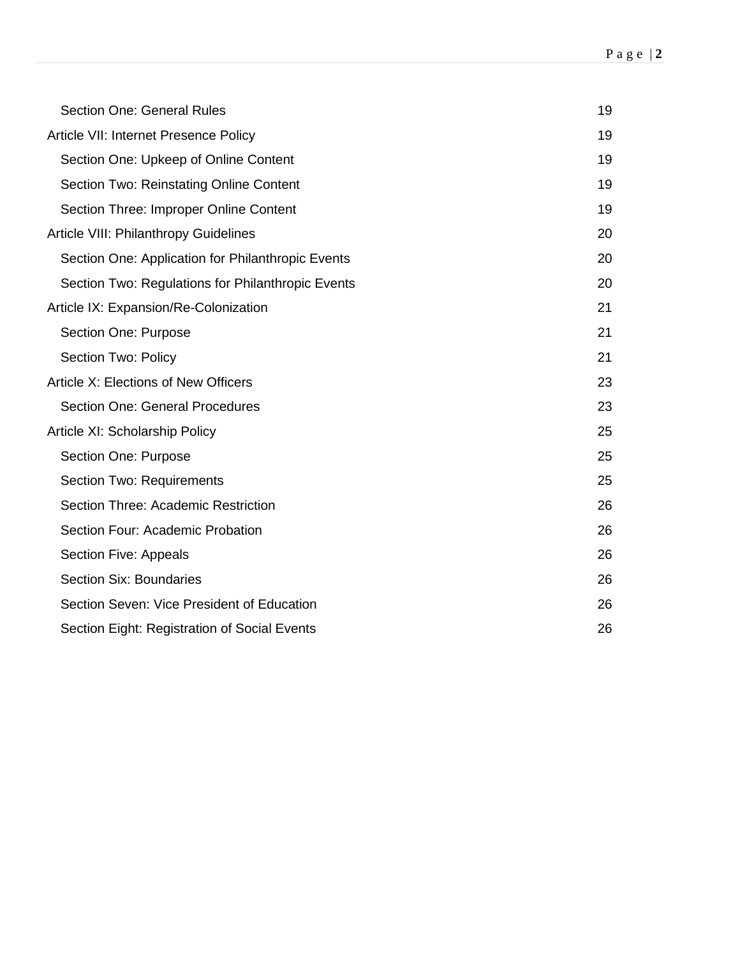| Section One: General Rules                        | 19 |
|---------------------------------------------------|----|
| Article VII: Internet Presence Policy             | 19 |
| Section One: Upkeep of Online Content             | 19 |
| <b>Section Two: Reinstating Online Content</b>    | 19 |
| Section Three: Improper Online Content            | 19 |
| Article VIII: Philanthropy Guidelines             | 20 |
| Section One: Application for Philanthropic Events | 20 |
| Section Two: Regulations for Philanthropic Events | 20 |
| Article IX: Expansion/Re-Colonization             | 21 |
| Section One: Purpose                              | 21 |
| Section Two: Policy                               | 21 |
| Article X: Elections of New Officers              | 23 |
| <b>Section One: General Procedures</b>            | 23 |
| Article XI: Scholarship Policy                    | 25 |
| Section One: Purpose                              | 25 |
| Section Two: Requirements                         | 25 |
| Section Three: Academic Restriction               | 26 |
| Section Four: Academic Probation                  | 26 |
| Section Five: Appeals                             | 26 |
| <b>Section Six: Boundaries</b>                    | 26 |
| Section Seven: Vice President of Education        | 26 |
| Section Eight: Registration of Social Events      | 26 |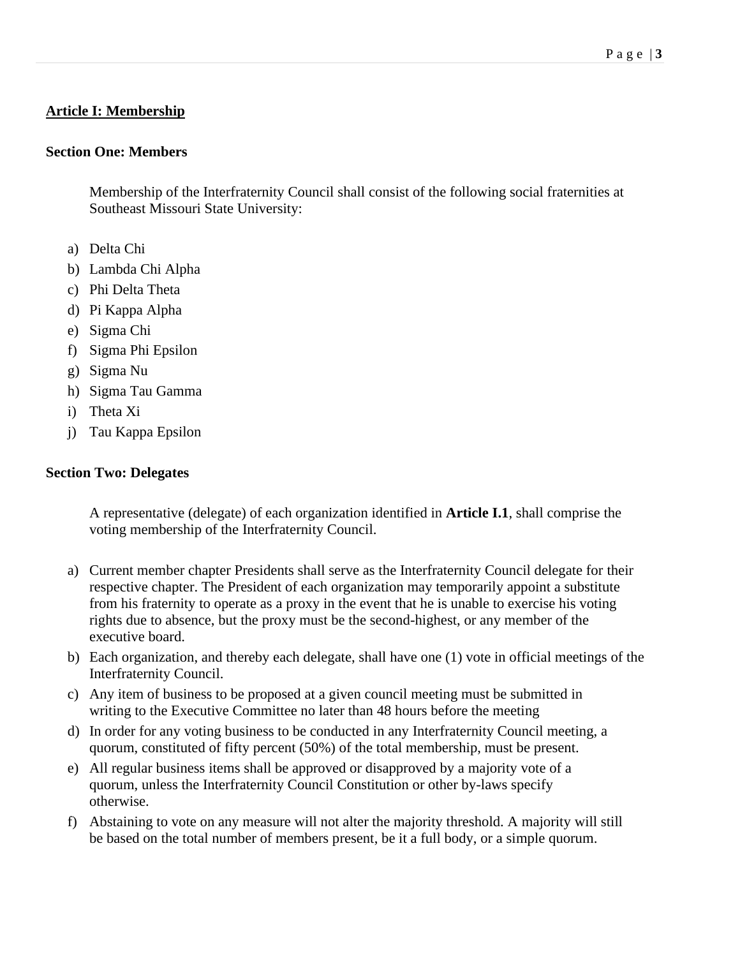# <span id="page-2-0"></span>**Article I: Membership**

#### <span id="page-2-1"></span>**Section One: Members**

Membership of the Interfraternity Council shall consist of the following social fraternities at Southeast Missouri State University:

- a) Delta Chi
- b) Lambda Chi Alpha
- c) Phi Delta Theta
- d) Pi Kappa Alpha
- e) Sigma Chi
- f) Sigma Phi Epsilon
- g) Sigma Nu
- h) Sigma Tau Gamma
- i) Theta Xi
- j) Tau Kappa Epsilon

## <span id="page-2-2"></span>**Section Two: Delegates**

A representative (delegate) of each organization identified in **Article I.1**, shall comprise the voting membership of the Interfraternity Council.

- a) Current member chapter Presidents shall serve as the Interfraternity Council delegate for their respective chapter. The President of each organization may temporarily appoint a substitute from his fraternity to operate as a proxy in the event that he is unable to exercise his voting rights due to absence, but the proxy must be the second-highest, or any member of the executive board.
- b) Each organization, and thereby each delegate, shall have one (1) vote in official meetings of the Interfraternity Council.
- c) Any item of business to be proposed at a given council meeting must be submitted in writing to the Executive Committee no later than 48 hours before the meeting
- d) In order for any voting business to be conducted in any Interfraternity Council meeting, a quorum, constituted of fifty percent (50%) of the total membership, must be present.
- e) All regular business items shall be approved or disapproved by a majority vote of a quorum, unless the Interfraternity Council Constitution or other by-laws specify otherwise.
- f) Abstaining to vote on any measure will not alter the majority threshold. A majority will still be based on the total number of members present, be it a full body, or a simple quorum.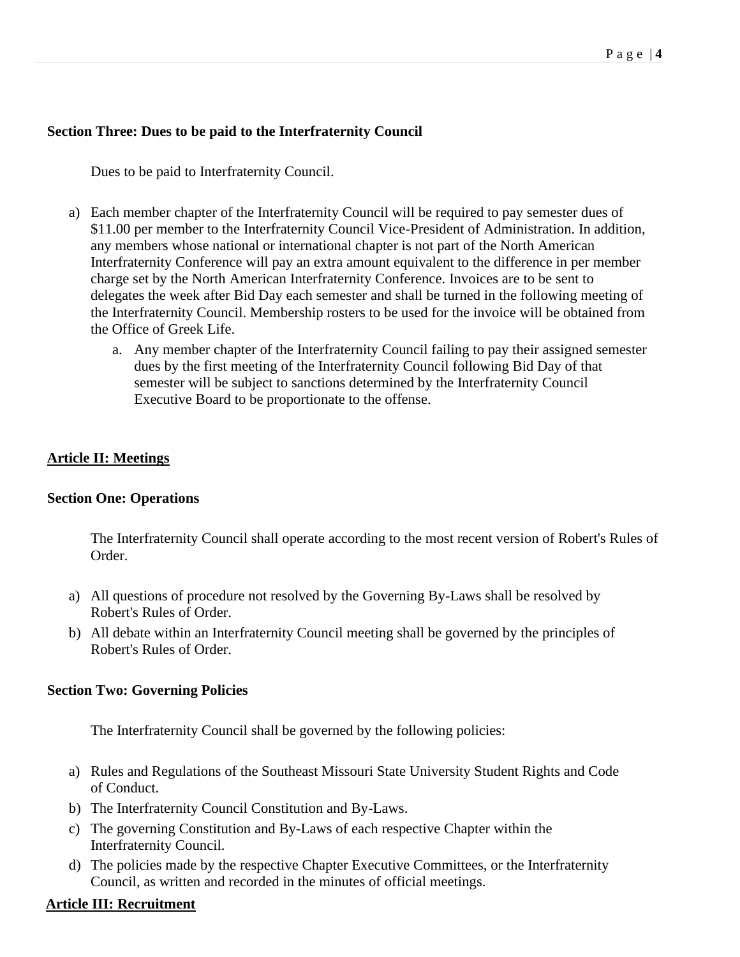#### <span id="page-3-0"></span>**Section Three: Dues to be paid to the Interfraternity Council**

Dues to be paid to Interfraternity Council.

- a) Each member chapter of the Interfraternity Council will be required to pay semester dues of \$11.00 per member to the Interfraternity Council Vice-President of Administration. In addition, any members whose national or international chapter is not part of the North American Interfraternity Conference will pay an extra amount equivalent to the difference in per member charge set by the North American Interfraternity Conference. Invoices are to be sent to delegates the week after Bid Day each semester and shall be turned in the following meeting of the Interfraternity Council. Membership rosters to be used for the invoice will be obtained from the Office of Greek Life.
	- a. Any member chapter of the Interfraternity Council failing to pay their assigned semester dues by the first meeting of the Interfraternity Council following Bid Day of that semester will be subject to sanctions determined by the Interfraternity Council Executive Board to be proportionate to the offense.

### <span id="page-3-1"></span>**Article II: Meetings**

#### <span id="page-3-2"></span>**Section One: Operations**

The Interfraternity Council shall operate according to the most recent version of Robert's Rules of Order.

- a) All questions of procedure not resolved by the Governing By-Laws shall be resolved by Robert's Rules of Order.
- b) All debate within an Interfraternity Council meeting shall be governed by the principles of Robert's Rules of Order.

#### <span id="page-3-3"></span>**Section Two: Governing Policies**

The Interfraternity Council shall be governed by the following policies:

- a) Rules and Regulations of the Southeast Missouri State University Student Rights and Code of Conduct.
- b) The Interfraternity Council Constitution and By-Laws.
- c) The governing Constitution and By-Laws of each respective Chapter within the Interfraternity Council.
- d) The policies made by the respective Chapter Executive Committees, or the Interfraternity Council, as written and recorded in the minutes of official meetings.

#### <span id="page-3-4"></span>**Article III: Recruitment**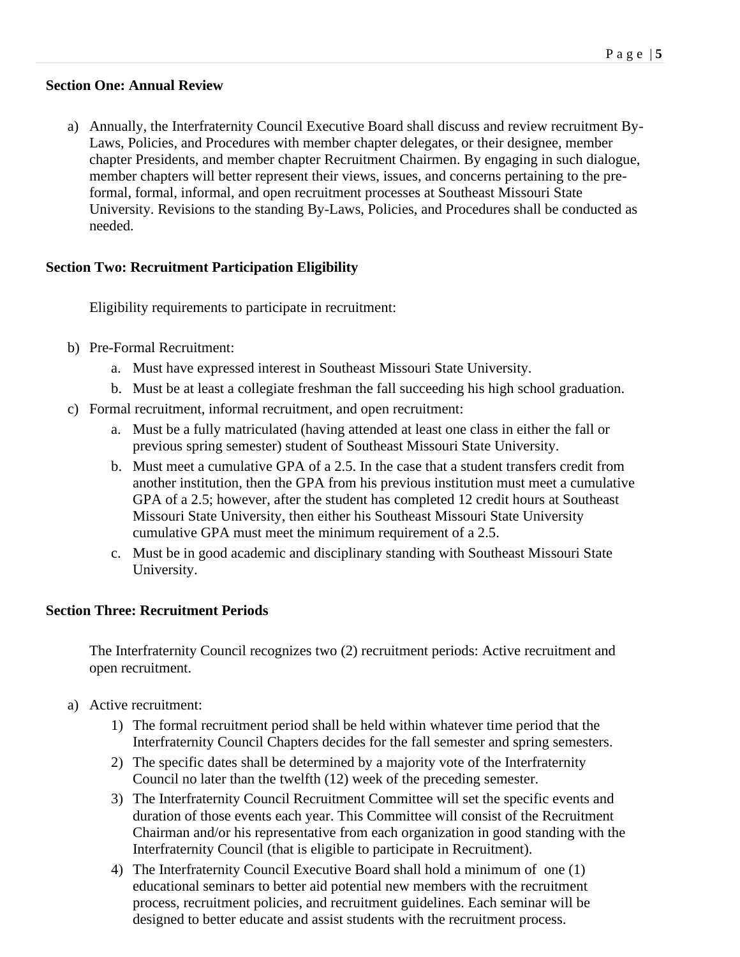#### <span id="page-4-0"></span>**Section One: Annual Review**

a) Annually, the Interfraternity Council Executive Board shall discuss and review recruitment By-Laws, Policies, and Procedures with member chapter delegates, or their designee, member chapter Presidents, and member chapter Recruitment Chairmen. By engaging in such dialogue, member chapters will better represent their views, issues, and concerns pertaining to the preformal, formal, informal, and open recruitment processes at Southeast Missouri State University. Revisions to the standing By-Laws, Policies, and Procedures shall be conducted as needed.

### <span id="page-4-1"></span>**Section Two: Recruitment Participation Eligibility**

Eligibility requirements to participate in recruitment:

- b) Pre-Formal Recruitment:
	- a. Must have expressed interest in Southeast Missouri State University.
	- b. Must be at least a collegiate freshman the fall succeeding his high school graduation.
- c) Formal recruitment, informal recruitment, and open recruitment:
	- a. Must be a fully matriculated (having attended at least one class in either the fall or previous spring semester) student of Southeast Missouri State University.
	- b. Must meet a cumulative GPA of a 2.5. In the case that a student transfers credit from another institution, then the GPA from his previous institution must meet a cumulative GPA of a 2.5; however, after the student has completed 12 credit hours at Southeast Missouri State University, then either his Southeast Missouri State University cumulative GPA must meet the minimum requirement of a 2.5.
	- c. Must be in good academic and disciplinary standing with Southeast Missouri State University.

#### <span id="page-4-2"></span>**Section Three: Recruitment Periods**

The Interfraternity Council recognizes two (2) recruitment periods: Active recruitment and open recruitment.

- a) Active recruitment:
	- 1) The formal recruitment period shall be held within whatever time period that the Interfraternity Council Chapters decides for the fall semester and spring semesters.
	- 2) The specific dates shall be determined by a majority vote of the Interfraternity Council no later than the twelfth (12) week of the preceding semester.
	- 3) The Interfraternity Council Recruitment Committee will set the specific events and duration of those events each year. This Committee will consist of the Recruitment Chairman and/or his representative from each organization in good standing with the Interfraternity Council (that is eligible to participate in Recruitment).
	- 4) The Interfraternity Council Executive Board shall hold a minimum of one (1) educational seminars to better aid potential new members with the recruitment process, recruitment policies, and recruitment guidelines. Each seminar will be designed to better educate and assist students with the recruitment process.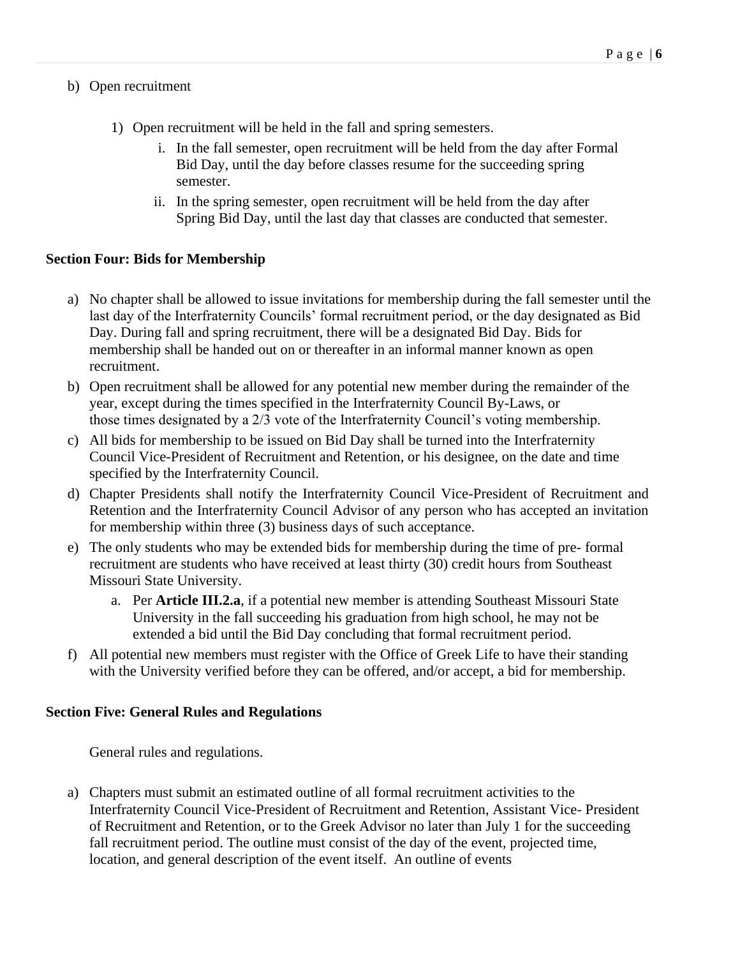### b) Open recruitment

- 1) Open recruitment will be held in the fall and spring semesters.
	- i. In the fall semester, open recruitment will be held from the day after Formal Bid Day, until the day before classes resume for the succeeding spring semester.
	- ii. In the spring semester, open recruitment will be held from the day after Spring Bid Day, until the last day that classes are conducted that semester.

### <span id="page-5-0"></span>**Section Four: Bids for Membership**

- a) No chapter shall be allowed to issue invitations for membership during the fall semester until the last day of the Interfraternity Councils' formal recruitment period, or the day designated as Bid Day. During fall and spring recruitment, there will be a designated Bid Day. Bids for membership shall be handed out on or thereafter in an informal manner known as open recruitment.
- b) Open recruitment shall be allowed for any potential new member during the remainder of the year, except during the times specified in the Interfraternity Council By-Laws, or those times designated by a 2/3 vote of the Interfraternity Council's voting membership.
- c) All bids for membership to be issued on Bid Day shall be turned into the Interfraternity Council Vice-President of Recruitment and Retention, or his designee, on the date and time specified by the Interfraternity Council.
- d) Chapter Presidents shall notify the Interfraternity Council Vice-President of Recruitment and Retention and the Interfraternity Council Advisor of any person who has accepted an invitation for membership within three (3) business days of such acceptance.
- e) The only students who may be extended bids for membership during the time of pre- formal recruitment are students who have received at least thirty (30) credit hours from Southeast Missouri State University.
	- a. Per **Article III.2.a**, if a potential new member is attending Southeast Missouri State University in the fall succeeding his graduation from high school, he may not be extended a bid until the Bid Day concluding that formal recruitment period.
- f) All potential new members must register with the Office of Greek Life to have their standing with the University verified before they can be offered, and/or accept, a bid for membership.

#### <span id="page-5-1"></span>**Section Five: General Rules and Regulations**

General rules and regulations.

a) Chapters must submit an estimated outline of all formal recruitment activities to the Interfraternity Council Vice-President of Recruitment and Retention, Assistant Vice- President of Recruitment and Retention, or to the Greek Advisor no later than July 1 for the succeeding fall recruitment period. The outline must consist of the day of the event, projected time, location, and general description of the event itself. An outline of events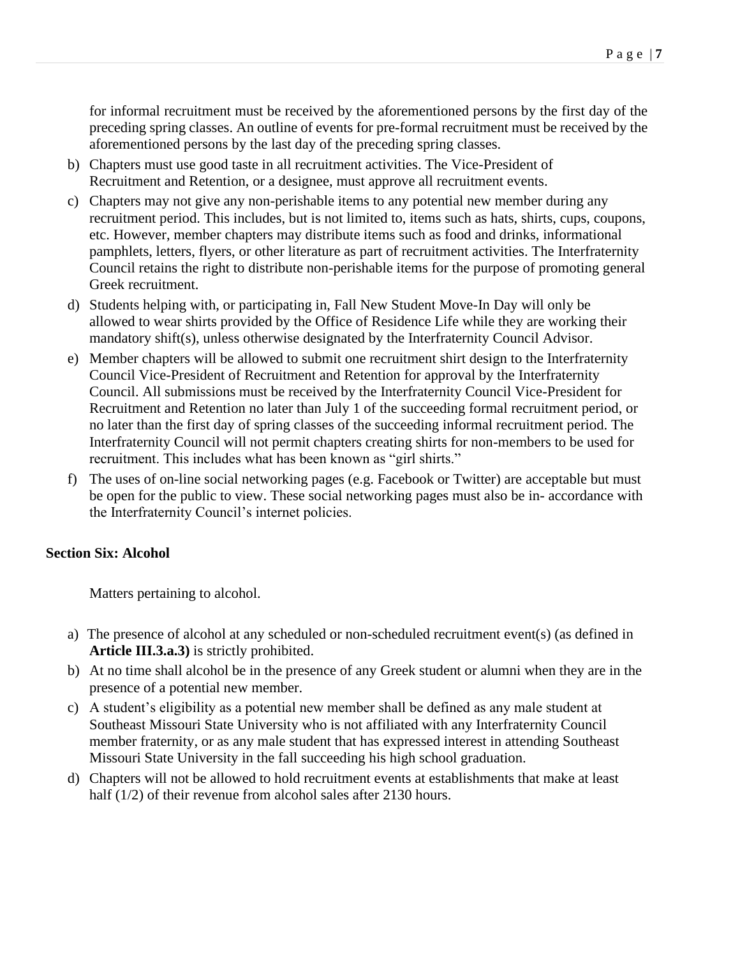for informal recruitment must be received by the aforementioned persons by the first day of the preceding spring classes. An outline of events for pre-formal recruitment must be received by the aforementioned persons by the last day of the preceding spring classes.

- b) Chapters must use good taste in all recruitment activities. The Vice-President of Recruitment and Retention, or a designee, must approve all recruitment events.
- c) Chapters may not give any non-perishable items to any potential new member during any recruitment period. This includes, but is not limited to, items such as hats, shirts, cups, coupons, etc. However, member chapters may distribute items such as food and drinks, informational pamphlets, letters, flyers, or other literature as part of recruitment activities. The Interfraternity Council retains the right to distribute non-perishable items for the purpose of promoting general Greek recruitment.
- d) Students helping with, or participating in, Fall New Student Move-In Day will only be allowed to wear shirts provided by the Office of Residence Life while they are working their mandatory shift(s), unless otherwise designated by the Interfraternity Council Advisor.
- e) Member chapters will be allowed to submit one recruitment shirt design to the Interfraternity Council Vice-President of Recruitment and Retention for approval by the Interfraternity Council. All submissions must be received by the Interfraternity Council Vice-President for Recruitment and Retention no later than July 1 of the succeeding formal recruitment period, or no later than the first day of spring classes of the succeeding informal recruitment period. The Interfraternity Council will not permit chapters creating shirts for non-members to be used for recruitment. This includes what has been known as "girl shirts."
- f) The uses of on-line social networking pages (e.g. Facebook or Twitter) are acceptable but must be open for the public to view. These social networking pages must also be in- accordance with the Interfraternity Council's internet policies.

#### <span id="page-6-0"></span>**Section Six: Alcohol**

Matters pertaining to alcohol.

- a) The presence of alcohol at any scheduled or non-scheduled recruitment event(s) (as defined in **Article III.3.a.3)** is strictly prohibited.
- b) At no time shall alcohol be in the presence of any Greek student or alumni when they are in the presence of a potential new member.
- c) A student's eligibility as a potential new member shall be defined as any male student at Southeast Missouri State University who is not affiliated with any Interfraternity Council member fraternity, or as any male student that has expressed interest in attending Southeast Missouri State University in the fall succeeding his high school graduation.
- <span id="page-6-1"></span>d) Chapters will not be allowed to hold recruitment events at establishments that make at least half (1/2) of their revenue from alcohol sales after 2130 hours.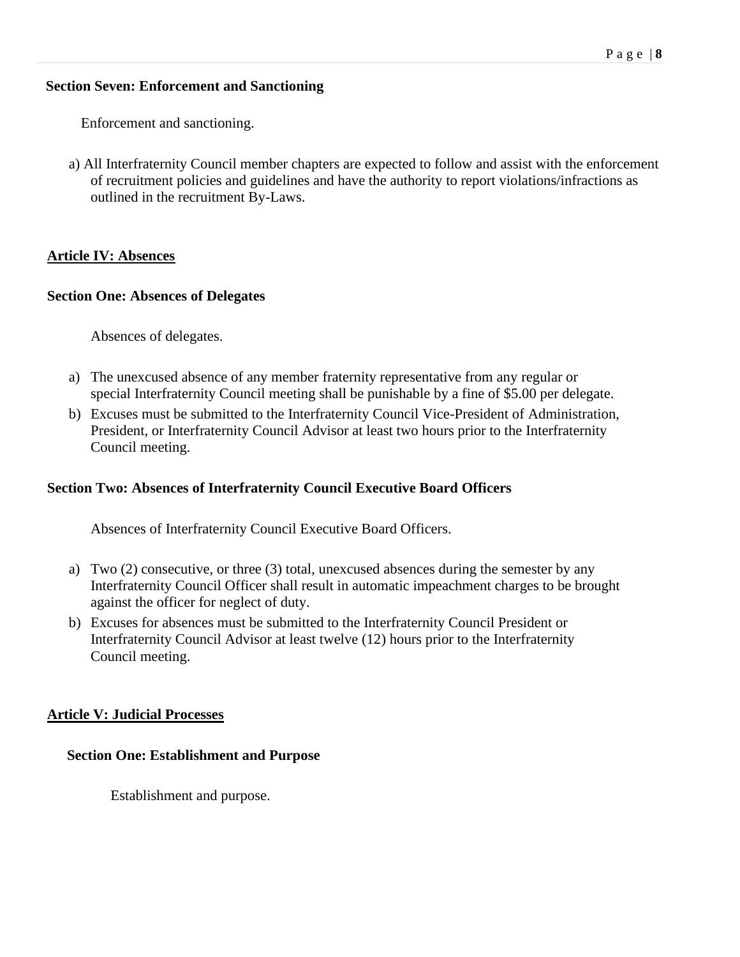#### **Section Seven: Enforcement and Sanctioning**

Enforcement and sanctioning.

a) All Interfraternity Council member chapters are expected to follow and assist with the enforcement of recruitment policies and guidelines and have the authority to report violations/infractions as outlined in the recruitment By-Laws.

# <span id="page-7-0"></span>**Article IV: Absences**

# <span id="page-7-1"></span>**Section One: Absences of Delegates**

Absences of delegates.

- a) The unexcused absence of any member fraternity representative from any regular or special Interfraternity Council meeting shall be punishable by a fine of \$5.00 per delegate.
- b) Excuses must be submitted to the Interfraternity Council Vice-President of Administration, President, or Interfraternity Council Advisor at least two hours prior to the Interfraternity Council meeting.

# <span id="page-7-2"></span>**Section Two: Absences of Interfraternity Council Executive Board Officers**

Absences of Interfraternity Council Executive Board Officers.

- a) Two (2) consecutive, or three (3) total, unexcused absences during the semester by any Interfraternity Council Officer shall result in automatic impeachment charges to be brought against the officer for neglect of duty.
- b) Excuses for absences must be submitted to the Interfraternity Council President or Interfraternity Council Advisor at least twelve (12) hours prior to the Interfraternity Council meeting.

# <span id="page-7-3"></span>**Article V: Judicial Processes**

# <span id="page-7-4"></span>**Section One: Establishment and Purpose**

Establishment and purpose.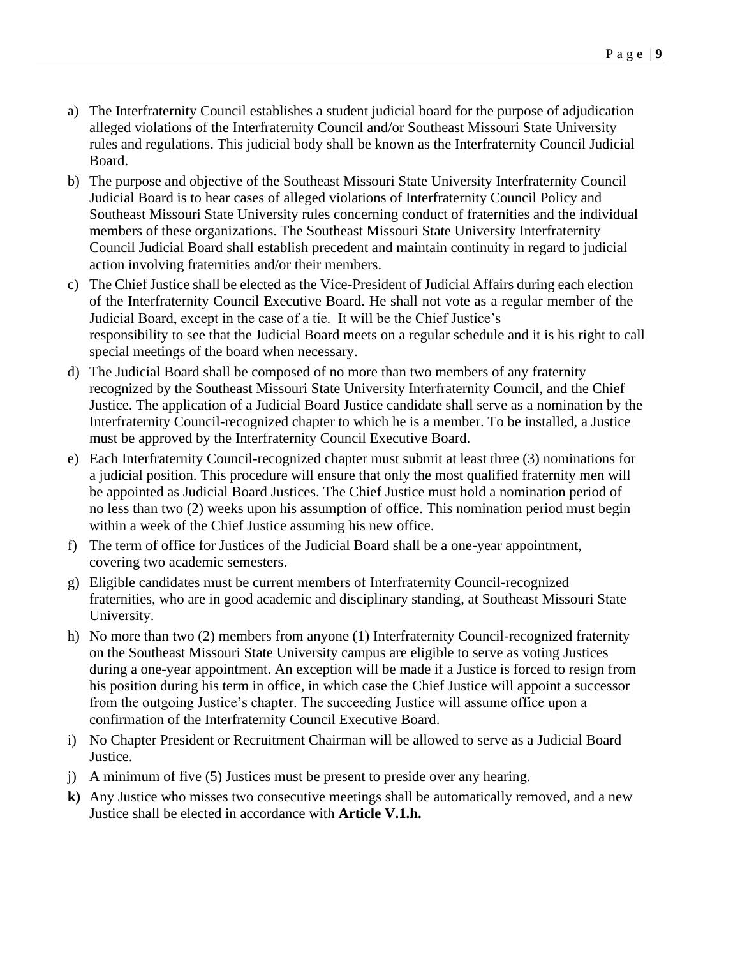- a) The Interfraternity Council establishes a student judicial board for the purpose of adjudication alleged violations of the Interfraternity Council and/or Southeast Missouri State University rules and regulations. This judicial body shall be known as the Interfraternity Council Judicial Board.
- b) The purpose and objective of the Southeast Missouri State University Interfraternity Council Judicial Board is to hear cases of alleged violations of Interfraternity Council Policy and Southeast Missouri State University rules concerning conduct of fraternities and the individual members of these organizations. The Southeast Missouri State University Interfraternity Council Judicial Board shall establish precedent and maintain continuity in regard to judicial action involving fraternities and/or their members.
- c) The Chief Justice shall be elected as the Vice-President of Judicial Affairs during each election of the Interfraternity Council Executive Board. He shall not vote as a regular member of the Judicial Board, except in the case of a tie. It will be the Chief Justice's responsibility to see that the Judicial Board meets on a regular schedule and it is his right to call special meetings of the board when necessary.
- d) The Judicial Board shall be composed of no more than two members of any fraternity recognized by the Southeast Missouri State University Interfraternity Council, and the Chief Justice. The application of a Judicial Board Justice candidate shall serve as a nomination by the Interfraternity Council-recognized chapter to which he is a member. To be installed, a Justice must be approved by the Interfraternity Council Executive Board.
- e) Each Interfraternity Council-recognized chapter must submit at least three (3) nominations for a judicial position. This procedure will ensure that only the most qualified fraternity men will be appointed as Judicial Board Justices. The Chief Justice must hold a nomination period of no less than two (2) weeks upon his assumption of office. This nomination period must begin within a week of the Chief Justice assuming his new office.
- f) The term of office for Justices of the Judicial Board shall be a one-year appointment, covering two academic semesters.
- g) Eligible candidates must be current members of Interfraternity Council-recognized fraternities, who are in good academic and disciplinary standing, at Southeast Missouri State University.
- h) No more than two (2) members from anyone (1) Interfraternity Council-recognized fraternity on the Southeast Missouri State University campus are eligible to serve as voting Justices during a one-year appointment. An exception will be made if a Justice is forced to resign from his position during his term in office, in which case the Chief Justice will appoint a successor from the outgoing Justice's chapter. The succeeding Justice will assume office upon a confirmation of the Interfraternity Council Executive Board.
- i) No Chapter President or Recruitment Chairman will be allowed to serve as a Judicial Board Justice.
- j) A minimum of five (5) Justices must be present to preside over any hearing.
- **k)** Any Justice who misses two consecutive meetings shall be automatically removed, and a new Justice shall be elected in accordance with **Article V.1.h.**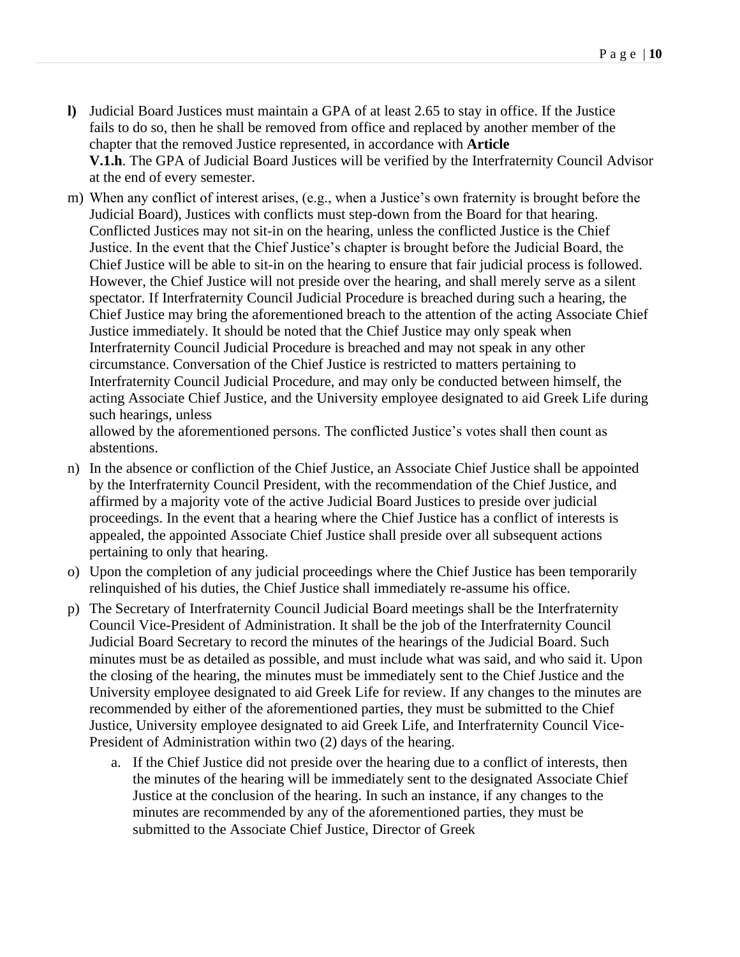- **l)** Judicial Board Justices must maintain a GPA of at least 2.65 to stay in office. If the Justice fails to do so, then he shall be removed from office and replaced by another member of the chapter that the removed Justice represented, in accordance with **Article V.1.h**. The GPA of Judicial Board Justices will be verified by the Interfraternity Council Advisor at the end of every semester.
- m) When any conflict of interest arises, (e.g., when a Justice's own fraternity is brought before the Judicial Board), Justices with conflicts must step-down from the Board for that hearing. Conflicted Justices may not sit-in on the hearing, unless the conflicted Justice is the Chief Justice. In the event that the Chief Justice's chapter is brought before the Judicial Board, the Chief Justice will be able to sit-in on the hearing to ensure that fair judicial process is followed. However, the Chief Justice will not preside over the hearing, and shall merely serve as a silent spectator. If Interfraternity Council Judicial Procedure is breached during such a hearing, the Chief Justice may bring the aforementioned breach to the attention of the acting Associate Chief Justice immediately. It should be noted that the Chief Justice may only speak when Interfraternity Council Judicial Procedure is breached and may not speak in any other circumstance. Conversation of the Chief Justice is restricted to matters pertaining to Interfraternity Council Judicial Procedure, and may only be conducted between himself, the acting Associate Chief Justice, and the University employee designated to aid Greek Life during such hearings, unless

allowed by the aforementioned persons. The conflicted Justice's votes shall then count as abstentions.

- n) In the absence or confliction of the Chief Justice, an Associate Chief Justice shall be appointed by the Interfraternity Council President, with the recommendation of the Chief Justice, and affirmed by a majority vote of the active Judicial Board Justices to preside over judicial proceedings. In the event that a hearing where the Chief Justice has a conflict of interests is appealed, the appointed Associate Chief Justice shall preside over all subsequent actions pertaining to only that hearing.
- o) Upon the completion of any judicial proceedings where the Chief Justice has been temporarily relinquished of his duties, the Chief Justice shall immediately re-assume his office.
- p) The Secretary of Interfraternity Council Judicial Board meetings shall be the Interfraternity Council Vice-President of Administration. It shall be the job of the Interfraternity Council Judicial Board Secretary to record the minutes of the hearings of the Judicial Board. Such minutes must be as detailed as possible, and must include what was said, and who said it. Upon the closing of the hearing, the minutes must be immediately sent to the Chief Justice and the University employee designated to aid Greek Life for review. If any changes to the minutes are recommended by either of the aforementioned parties, they must be submitted to the Chief Justice, University employee designated to aid Greek Life, and Interfraternity Council Vice-President of Administration within two (2) days of the hearing.
	- a. If the Chief Justice did not preside over the hearing due to a conflict of interests, then the minutes of the hearing will be immediately sent to the designated Associate Chief Justice at the conclusion of the hearing. In such an instance, if any changes to the minutes are recommended by any of the aforementioned parties, they must be submitted to the Associate Chief Justice, Director of Greek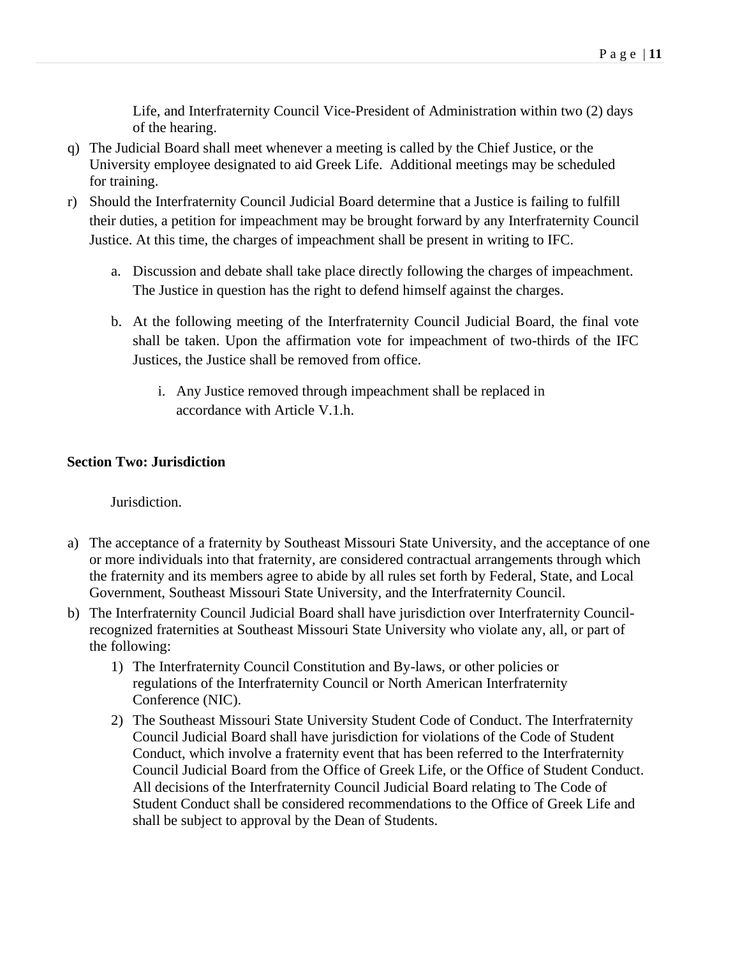Life, and Interfraternity Council Vice-President of Administration within two (2) days of the hearing.

- q) The Judicial Board shall meet whenever a meeting is called by the Chief Justice, or the University employee designated to aid Greek Life. Additional meetings may be scheduled for training.
- r) Should the Interfraternity Council Judicial Board determine that a Justice is failing to fulfill their duties, a petition for impeachment may be brought forward by any Interfraternity Council Justice. At this time, the charges of impeachment shall be present in writing to IFC.
	- a. Discussion and debate shall take place directly following the charges of impeachment. The Justice in question has the right to defend himself against the charges.
	- b. At the following meeting of the Interfraternity Council Judicial Board, the final vote shall be taken. Upon the affirmation vote for impeachment of two-thirds of the IFC Justices, the Justice shall be removed from office.
		- i. Any Justice removed through impeachment shall be replaced in accordance with Article V.1.h.

# <span id="page-10-0"></span>**Section Two: Jurisdiction**

Jurisdiction.

- a) The acceptance of a fraternity by Southeast Missouri State University, and the acceptance of one or more individuals into that fraternity, are considered contractual arrangements through which the fraternity and its members agree to abide by all rules set forth by Federal, State, and Local Government, Southeast Missouri State University, and the Interfraternity Council.
- b) The Interfraternity Council Judicial Board shall have jurisdiction over Interfraternity Councilrecognized fraternities at Southeast Missouri State University who violate any, all, or part of the following:
	- 1) The Interfraternity Council Constitution and By-laws, or other policies or regulations of the Interfraternity Council or North American Interfraternity Conference (NIC).
	- 2) The Southeast Missouri State University Student Code of Conduct. The Interfraternity Council Judicial Board shall have jurisdiction for violations of the Code of Student Conduct, which involve a fraternity event that has been referred to the Interfraternity Council Judicial Board from the Office of Greek Life, or the Office of Student Conduct. All decisions of the Interfraternity Council Judicial Board relating to The Code of Student Conduct shall be considered recommendations to the Office of Greek Life and shall be subject to approval by the Dean of Students.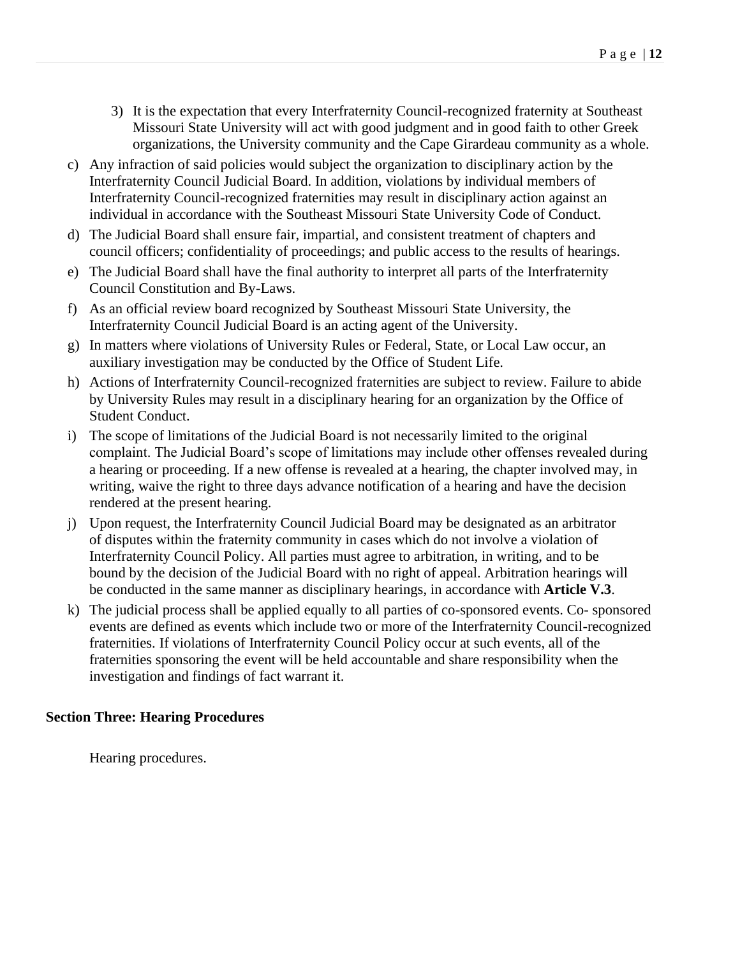- 3) It is the expectation that every Interfraternity Council-recognized fraternity at Southeast Missouri State University will act with good judgment and in good faith to other Greek organizations, the University community and the Cape Girardeau community as a whole.
- c) Any infraction of said policies would subject the organization to disciplinary action by the Interfraternity Council Judicial Board. In addition, violations by individual members of Interfraternity Council-recognized fraternities may result in disciplinary action against an individual in accordance with the Southeast Missouri State University Code of Conduct.
- d) The Judicial Board shall ensure fair, impartial, and consistent treatment of chapters and council officers; confidentiality of proceedings; and public access to the results of hearings.
- e) The Judicial Board shall have the final authority to interpret all parts of the Interfraternity Council Constitution and By-Laws.
- f) As an official review board recognized by Southeast Missouri State University, the Interfraternity Council Judicial Board is an acting agent of the University.
- g) In matters where violations of University Rules or Federal, State, or Local Law occur, an auxiliary investigation may be conducted by the Office of Student Life.
- h) Actions of Interfraternity Council-recognized fraternities are subject to review. Failure to abide by University Rules may result in a disciplinary hearing for an organization by the Office of Student Conduct.
- i) The scope of limitations of the Judicial Board is not necessarily limited to the original complaint. The Judicial Board's scope of limitations may include other offenses revealed during a hearing or proceeding. If a new offense is revealed at a hearing, the chapter involved may, in writing, waive the right to three days advance notification of a hearing and have the decision rendered at the present hearing.
- j) Upon request, the Interfraternity Council Judicial Board may be designated as an arbitrator of disputes within the fraternity community in cases which do not involve a violation of Interfraternity Council Policy. All parties must agree to arbitration, in writing, and to be bound by the decision of the Judicial Board with no right of appeal. Arbitration hearings will be conducted in the same manner as disciplinary hearings, in accordance with **Article V.3**.
- k) The judicial process shall be applied equally to all parties of co-sponsored events. Co- sponsored events are defined as events which include two or more of the Interfraternity Council-recognized fraternities. If violations of Interfraternity Council Policy occur at such events, all of the fraternities sponsoring the event will be held accountable and share responsibility when the investigation and findings of fact warrant it.

# <span id="page-11-0"></span>**Section Three: Hearing Procedures**

Hearing procedures.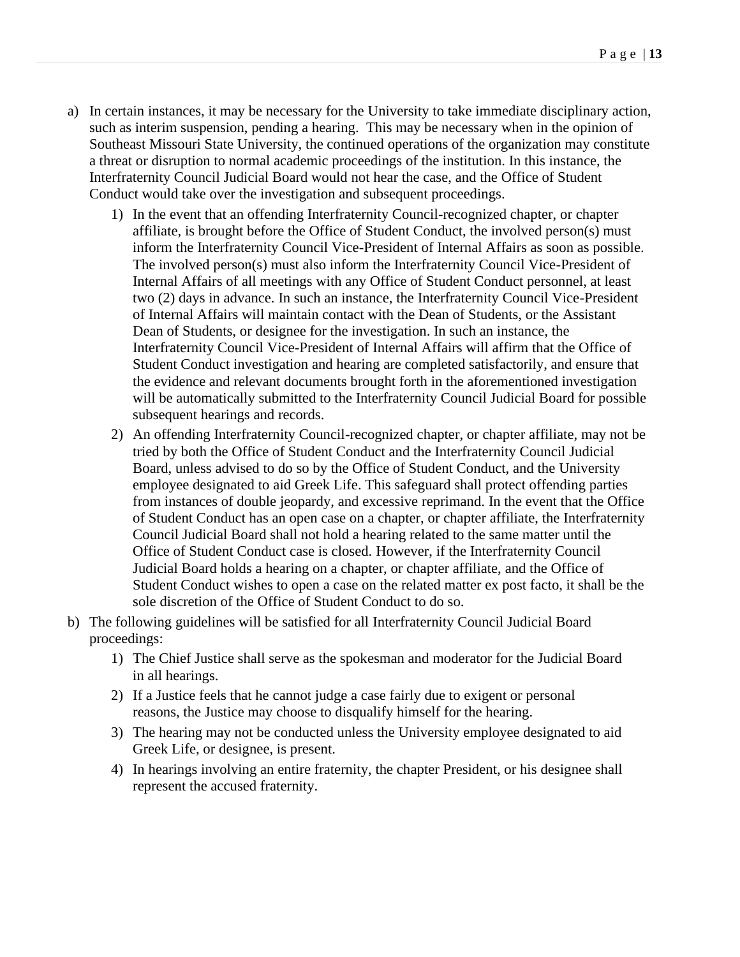- a) In certain instances, it may be necessary for the University to take immediate disciplinary action, such as interim suspension, pending a hearing. This may be necessary when in the opinion of Southeast Missouri State University, the continued operations of the organization may constitute a threat or disruption to normal academic proceedings of the institution. In this instance, the Interfraternity Council Judicial Board would not hear the case, and the Office of Student Conduct would take over the investigation and subsequent proceedings.
	- 1) In the event that an offending Interfraternity Council-recognized chapter, or chapter affiliate, is brought before the Office of Student Conduct, the involved person(s) must inform the Interfraternity Council Vice-President of Internal Affairs as soon as possible. The involved person(s) must also inform the Interfraternity Council Vice-President of Internal Affairs of all meetings with any Office of Student Conduct personnel, at least two (2) days in advance. In such an instance, the Interfraternity Council Vice-President of Internal Affairs will maintain contact with the Dean of Students, or the Assistant Dean of Students, or designee for the investigation. In such an instance, the Interfraternity Council Vice-President of Internal Affairs will affirm that the Office of Student Conduct investigation and hearing are completed satisfactorily, and ensure that the evidence and relevant documents brought forth in the aforementioned investigation will be automatically submitted to the Interfraternity Council Judicial Board for possible subsequent hearings and records.
	- 2) An offending Interfraternity Council-recognized chapter, or chapter affiliate, may not be tried by both the Office of Student Conduct and the Interfraternity Council Judicial Board, unless advised to do so by the Office of Student Conduct, and the University employee designated to aid Greek Life. This safeguard shall protect offending parties from instances of double jeopardy, and excessive reprimand. In the event that the Office of Student Conduct has an open case on a chapter, or chapter affiliate, the Interfraternity Council Judicial Board shall not hold a hearing related to the same matter until the Office of Student Conduct case is closed. However, if the Interfraternity Council Judicial Board holds a hearing on a chapter, or chapter affiliate, and the Office of Student Conduct wishes to open a case on the related matter ex post facto, it shall be the sole discretion of the Office of Student Conduct to do so.
- b) The following guidelines will be satisfied for all Interfraternity Council Judicial Board proceedings:
	- 1) The Chief Justice shall serve as the spokesman and moderator for the Judicial Board in all hearings.
	- 2) If a Justice feels that he cannot judge a case fairly due to exigent or personal reasons, the Justice may choose to disqualify himself for the hearing.
	- 3) The hearing may not be conducted unless the University employee designated to aid Greek Life, or designee, is present.
	- 4) In hearings involving an entire fraternity, the chapter President, or his designee shall represent the accused fraternity.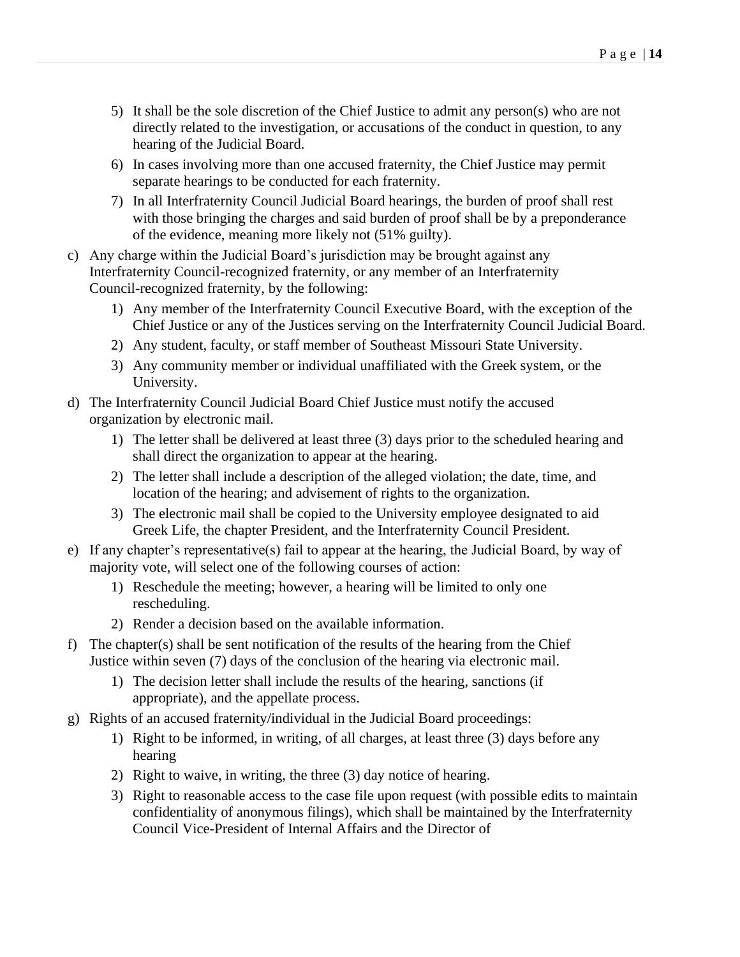- 5) It shall be the sole discretion of the Chief Justice to admit any person(s) who are not directly related to the investigation, or accusations of the conduct in question, to any hearing of the Judicial Board.
- 6) In cases involving more than one accused fraternity, the Chief Justice may permit separate hearings to be conducted for each fraternity.
- 7) In all Interfraternity Council Judicial Board hearings, the burden of proof shall rest with those bringing the charges and said burden of proof shall be by a preponderance of the evidence, meaning more likely not (51% guilty).
- c) Any charge within the Judicial Board's jurisdiction may be brought against any Interfraternity Council-recognized fraternity, or any member of an Interfraternity Council-recognized fraternity, by the following:
	- 1) Any member of the Interfraternity Council Executive Board, with the exception of the Chief Justice or any of the Justices serving on the Interfraternity Council Judicial Board.
	- 2) Any student, faculty, or staff member of Southeast Missouri State University.
	- 3) Any community member or individual unaffiliated with the Greek system, or the University.
- d) The Interfraternity Council Judicial Board Chief Justice must notify the accused organization by electronic mail.
	- 1) The letter shall be delivered at least three (3) days prior to the scheduled hearing and shall direct the organization to appear at the hearing.
	- 2) The letter shall include a description of the alleged violation; the date, time, and location of the hearing; and advisement of rights to the organization.
	- 3) The electronic mail shall be copied to the University employee designated to aid Greek Life, the chapter President, and the Interfraternity Council President.
- e) If any chapter's representative(s) fail to appear at the hearing, the Judicial Board, by way of majority vote, will select one of the following courses of action:
	- 1) Reschedule the meeting; however, a hearing will be limited to only one rescheduling.
	- 2) Render a decision based on the available information.
- f) The chapter(s) shall be sent notification of the results of the hearing from the Chief Justice within seven (7) days of the conclusion of the hearing via electronic mail.
	- 1) The decision letter shall include the results of the hearing, sanctions (if appropriate), and the appellate process.
- g) Rights of an accused fraternity/individual in the Judicial Board proceedings:
	- 1) Right to be informed, in writing, of all charges, at least three (3) days before any hearing
	- 2) Right to waive, in writing, the three (3) day notice of hearing.
	- 3) Right to reasonable access to the case file upon request (with possible edits to maintain confidentiality of anonymous filings), which shall be maintained by the Interfraternity Council Vice-President of Internal Affairs and the Director of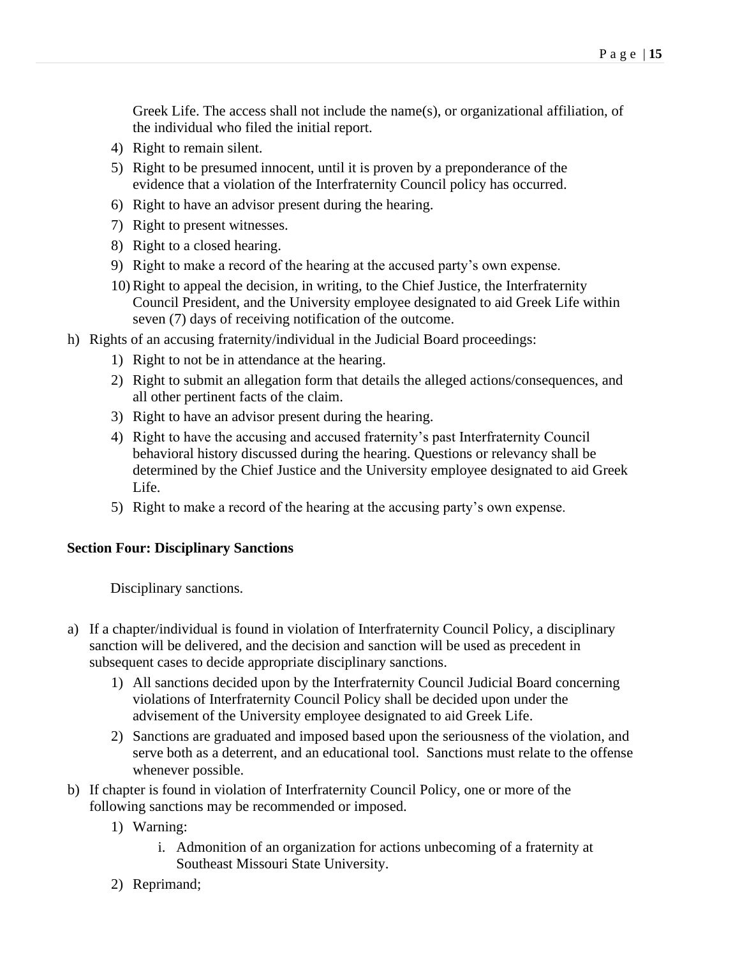Greek Life. The access shall not include the name(s), or organizational affiliation, of the individual who filed the initial report.

- 4) Right to remain silent.
- 5) Right to be presumed innocent, until it is proven by a preponderance of the evidence that a violation of the Interfraternity Council policy has occurred.
- 6) Right to have an advisor present during the hearing.
- 7) Right to present witnesses.
- 8) Right to a closed hearing.
- 9) Right to make a record of the hearing at the accused party's own expense.
- 10)Right to appeal the decision, in writing, to the Chief Justice, the Interfraternity Council President, and the University employee designated to aid Greek Life within seven (7) days of receiving notification of the outcome.
- h) Rights of an accusing fraternity/individual in the Judicial Board proceedings:
	- 1) Right to not be in attendance at the hearing.
	- 2) Right to submit an allegation form that details the alleged actions/consequences, and all other pertinent facts of the claim.
	- 3) Right to have an advisor present during the hearing.
	- 4) Right to have the accusing and accused fraternity's past Interfraternity Council behavioral history discussed during the hearing. Questions or relevancy shall be determined by the Chief Justice and the University employee designated to aid Greek Life.
	- 5) Right to make a record of the hearing at the accusing party's own expense.

#### <span id="page-14-0"></span>**Section Four: Disciplinary Sanctions**

Disciplinary sanctions.

- a) If a chapter/individual is found in violation of Interfraternity Council Policy, a disciplinary sanction will be delivered, and the decision and sanction will be used as precedent in subsequent cases to decide appropriate disciplinary sanctions.
	- 1) All sanctions decided upon by the Interfraternity Council Judicial Board concerning violations of Interfraternity Council Policy shall be decided upon under the advisement of the University employee designated to aid Greek Life.
	- 2) Sanctions are graduated and imposed based upon the seriousness of the violation, and serve both as a deterrent, and an educational tool. Sanctions must relate to the offense whenever possible.
- b) If chapter is found in violation of Interfraternity Council Policy, one or more of the following sanctions may be recommended or imposed.
	- 1) Warning:
		- i. Admonition of an organization for actions unbecoming of a fraternity at Southeast Missouri State University.
	- 2) Reprimand;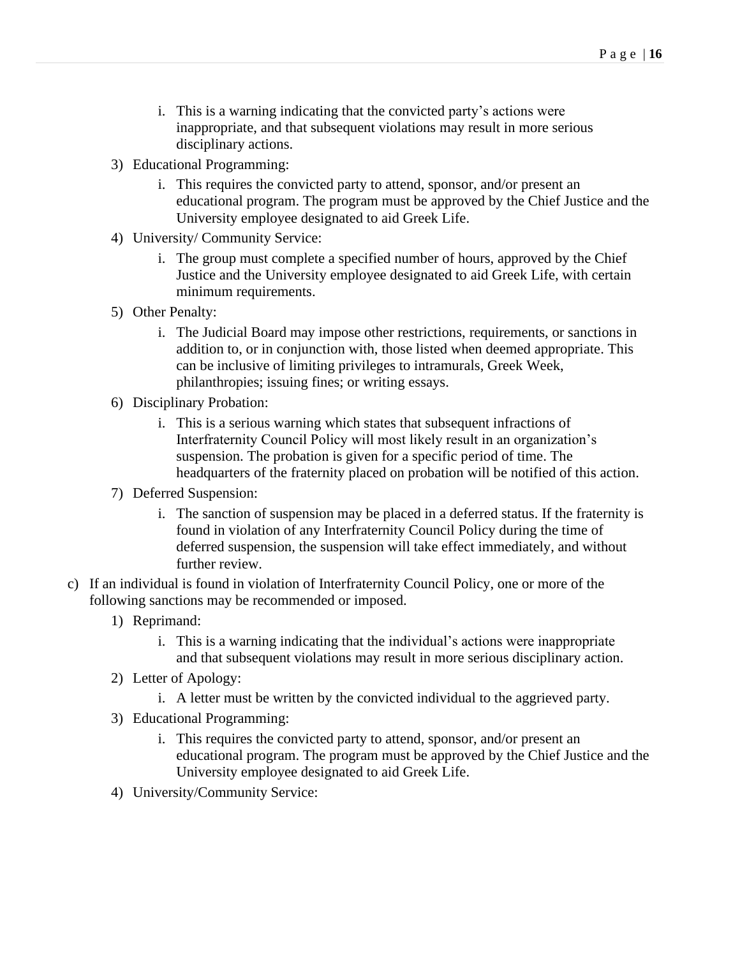- i. This is a warning indicating that the convicted party's actions were inappropriate, and that subsequent violations may result in more serious disciplinary actions.
- 3) Educational Programming:
	- i. This requires the convicted party to attend, sponsor, and/or present an educational program. The program must be approved by the Chief Justice and the University employee designated to aid Greek Life.
- 4) University/ Community Service:
	- i. The group must complete a specified number of hours, approved by the Chief Justice and the University employee designated to aid Greek Life, with certain minimum requirements.
- 5) Other Penalty:
	- i. The Judicial Board may impose other restrictions, requirements, or sanctions in addition to, or in conjunction with, those listed when deemed appropriate. This can be inclusive of limiting privileges to intramurals, Greek Week, philanthropies; issuing fines; or writing essays.
- 6) Disciplinary Probation:
	- i. This is a serious warning which states that subsequent infractions of Interfraternity Council Policy will most likely result in an organization's suspension. The probation is given for a specific period of time. The headquarters of the fraternity placed on probation will be notified of this action.
- 7) Deferred Suspension:
	- i. The sanction of suspension may be placed in a deferred status. If the fraternity is found in violation of any Interfraternity Council Policy during the time of deferred suspension, the suspension will take effect immediately, and without further review.
- c) If an individual is found in violation of Interfraternity Council Policy, one or more of the following sanctions may be recommended or imposed.
	- 1) Reprimand:
		- i. This is a warning indicating that the individual's actions were inappropriate and that subsequent violations may result in more serious disciplinary action.
	- 2) Letter of Apology:
		- i. A letter must be written by the convicted individual to the aggrieved party.
	- 3) Educational Programming:
		- i. This requires the convicted party to attend, sponsor, and/or present an educational program. The program must be approved by the Chief Justice and the University employee designated to aid Greek Life.
	- 4) University/Community Service: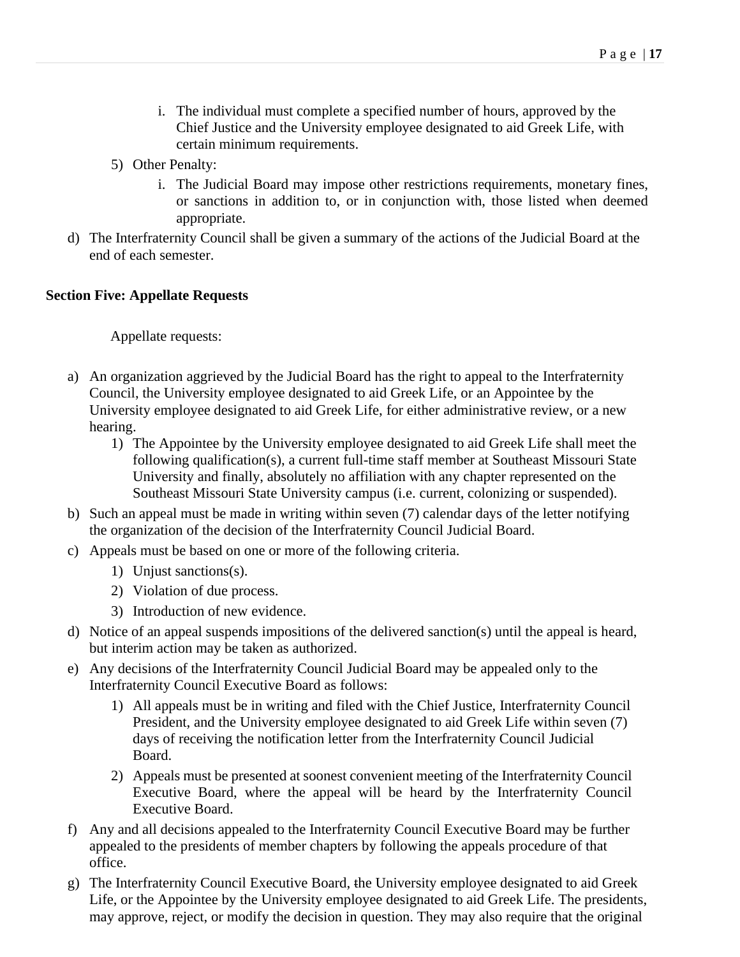- i. The individual must complete a specified number of hours, approved by the Chief Justice and the University employee designated to aid Greek Life, with certain minimum requirements.
- 5) Other Penalty:
	- i. The Judicial Board may impose other restrictions requirements, monetary fines, or sanctions in addition to, or in conjunction with, those listed when deemed appropriate.
- d) The Interfraternity Council shall be given a summary of the actions of the Judicial Board at the end of each semester.

### <span id="page-16-0"></span>**Section Five: Appellate Requests**

Appellate requests:

- a) An organization aggrieved by the Judicial Board has the right to appeal to the Interfraternity Council, the University employee designated to aid Greek Life, or an Appointee by the University employee designated to aid Greek Life, for either administrative review, or a new hearing.
	- 1) The Appointee by the University employee designated to aid Greek Life shall meet the following qualification(s), a current full-time staff member at Southeast Missouri State University and finally, absolutely no affiliation with any chapter represented on the Southeast Missouri State University campus (i.e. current, colonizing or suspended).
- b) Such an appeal must be made in writing within seven (7) calendar days of the letter notifying the organization of the decision of the Interfraternity Council Judicial Board.
- c) Appeals must be based on one or more of the following criteria.
	- 1) Unjust sanctions(s).
	- 2) Violation of due process.
	- 3) Introduction of new evidence.
- d) Notice of an appeal suspends impositions of the delivered sanction(s) until the appeal is heard, but interim action may be taken as authorized.
- e) Any decisions of the Interfraternity Council Judicial Board may be appealed only to the Interfraternity Council Executive Board as follows:
	- 1) All appeals must be in writing and filed with the Chief Justice, Interfraternity Council President, and the University employee designated to aid Greek Life within seven (7) days of receiving the notification letter from the Interfraternity Council Judicial Board.
	- 2) Appeals must be presented at soonest convenient meeting of the Interfraternity Council Executive Board, where the appeal will be heard by the Interfraternity Council Executive Board.
- f) Any and all decisions appealed to the Interfraternity Council Executive Board may be further appealed to the presidents of member chapters by following the appeals procedure of that office.
- g) The Interfraternity Council Executive Board, the University employee designated to aid Greek Life, or the Appointee by the University employee designated to aid Greek Life. The presidents, may approve, reject, or modify the decision in question. They may also require that the original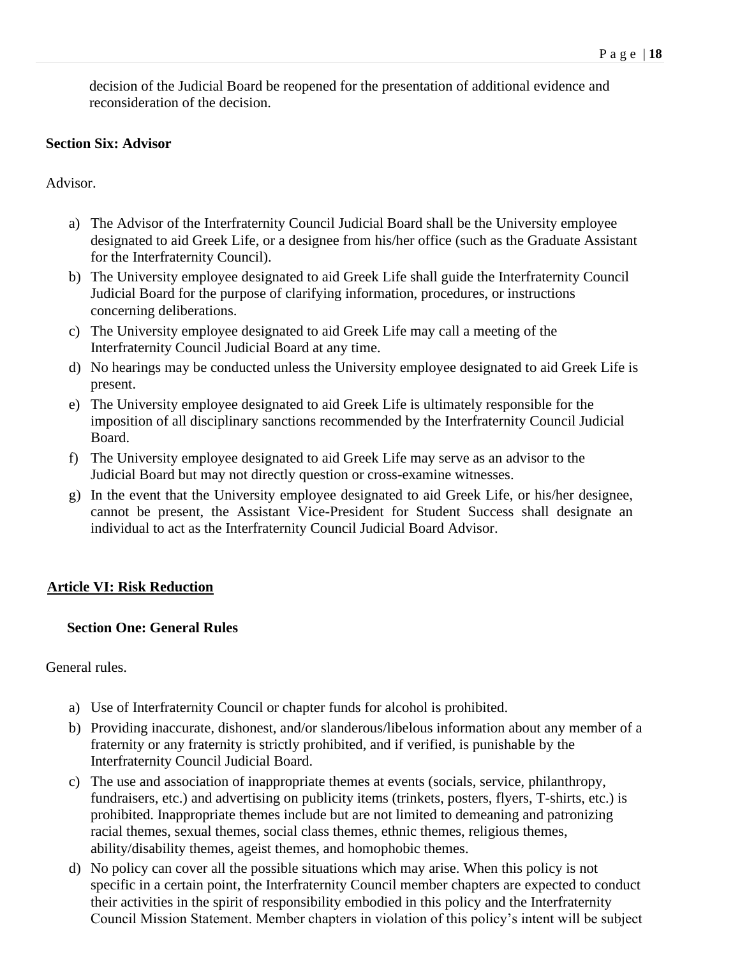decision of the Judicial Board be reopened for the presentation of additional evidence and reconsideration of the decision.

### <span id="page-17-0"></span>**Section Six: Advisor**

Advisor.

- a) The Advisor of the Interfraternity Council Judicial Board shall be the University employee designated to aid Greek Life, or a designee from his/her office (such as the Graduate Assistant for the Interfraternity Council).
- b) The University employee designated to aid Greek Life shall guide the Interfraternity Council Judicial Board for the purpose of clarifying information, procedures, or instructions concerning deliberations.
- c) The University employee designated to aid Greek Life may call a meeting of the Interfraternity Council Judicial Board at any time.
- d) No hearings may be conducted unless the University employee designated to aid Greek Life is present.
- e) The University employee designated to aid Greek Life is ultimately responsible for the imposition of all disciplinary sanctions recommended by the Interfraternity Council Judicial Board.
- f) The University employee designated to aid Greek Life may serve as an advisor to the Judicial Board but may not directly question or cross-examine witnesses.
- g) In the event that the University employee designated to aid Greek Life, or his/her designee, cannot be present, the Assistant Vice-President for Student Success shall designate an individual to act as the Interfraternity Council Judicial Board Advisor.

# <span id="page-17-1"></span>**Article VI: Risk Reduction**

# <span id="page-17-2"></span>**Section One: General Rules**

General rules.

- a) Use of Interfraternity Council or chapter funds for alcohol is prohibited.
- b) Providing inaccurate, dishonest, and/or slanderous/libelous information about any member of a fraternity or any fraternity is strictly prohibited, and if verified, is punishable by the Interfraternity Council Judicial Board.
- c) The use and association of inappropriate themes at events (socials, service, philanthropy, fundraisers, etc.) and advertising on publicity items (trinkets, posters, flyers, T-shirts, etc.) is prohibited. Inappropriate themes include but are not limited to demeaning and patronizing racial themes, sexual themes, social class themes, ethnic themes, religious themes, ability/disability themes, ageist themes, and homophobic themes.
- d) No policy can cover all the possible situations which may arise. When this policy is not specific in a certain point, the Interfraternity Council member chapters are expected to conduct their activities in the spirit of responsibility embodied in this policy and the Interfraternity Council Mission Statement. Member chapters in violation of this policy's intent will be subject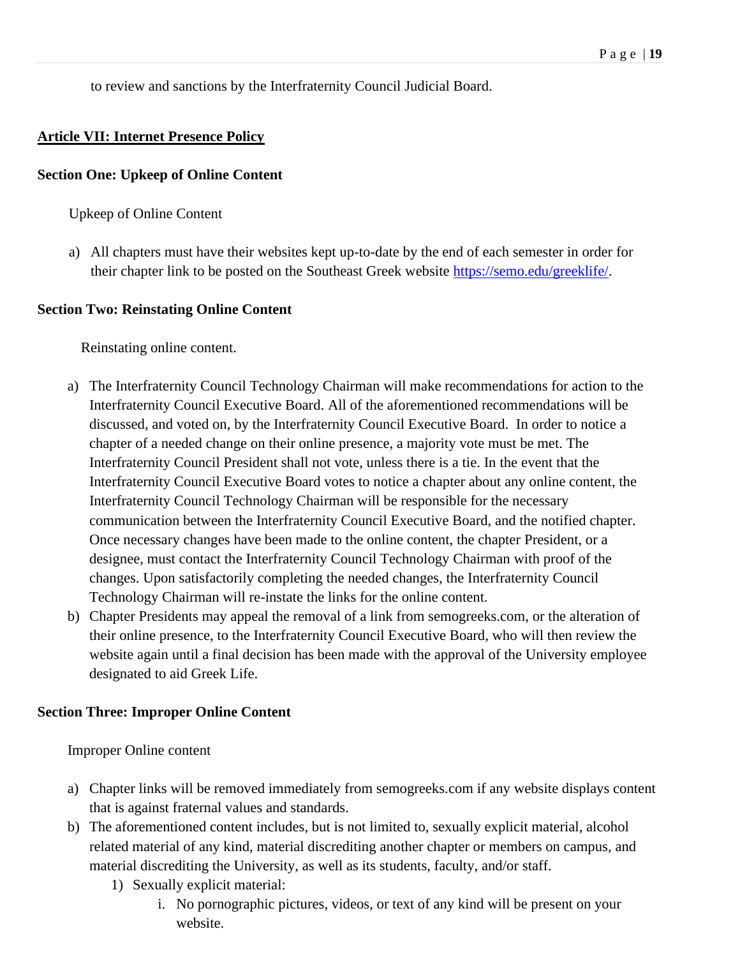to review and sanctions by the Interfraternity Council Judicial Board.

## **Article VII: Internet Presence Policy**

#### **Section One: Upkeep of Online Content**

Upkeep of Online Content

a) All chapters must have their websites kept up-to-date by the end of each semester in order for their chapter link to be posted on the Southeast Greek website [https://semo.edu/greeklife/.](https://semo.edu/greeklife/)

#### **Section Two: Reinstating Online Content**

Reinstating online content.

- a) The Interfraternity Council Technology Chairman will make recommendations for action to the Interfraternity Council Executive Board. All of the aforementioned recommendations will be discussed, and voted on, by the Interfraternity Council Executive Board. In order to notice a chapter of a needed change on their online presence, a majority vote must be met. The Interfraternity Council President shall not vote, unless there is a tie. In the event that the Interfraternity Council Executive Board votes to notice a chapter about any online content, the Interfraternity Council Technology Chairman will be responsible for the necessary communication between the Interfraternity Council Executive Board, and the notified chapter. Once necessary changes have been made to the online content, the chapter President, or a designee, must contact the Interfraternity Council Technology Chairman with proof of the changes. Upon satisfactorily completing the needed changes, the Interfraternity Council Technology Chairman will re-instate the links for the online content.
- b) Chapter Presidents may appeal the removal of a link from semogreeks.com, or the alteration of their online presence, to the Interfraternity Council Executive Board, who will then review the website again until a final decision has been made with the approval of the University employee designated to aid Greek Life.

#### **Section Three: Improper Online Content**

Improper Online content

- a) Chapter links will be removed immediately from semogreeks.com if any website displays content that is against fraternal values and standards.
- b) The aforementioned content includes, but is not limited to, sexually explicit material, alcohol related material of any kind, material discrediting another chapter or members on campus, and material discrediting the University, as well as its students, faculty, and/or staff.
	- 1) Sexually explicit material:
		- i. No pornographic pictures, videos, or text of any kind will be present on your website.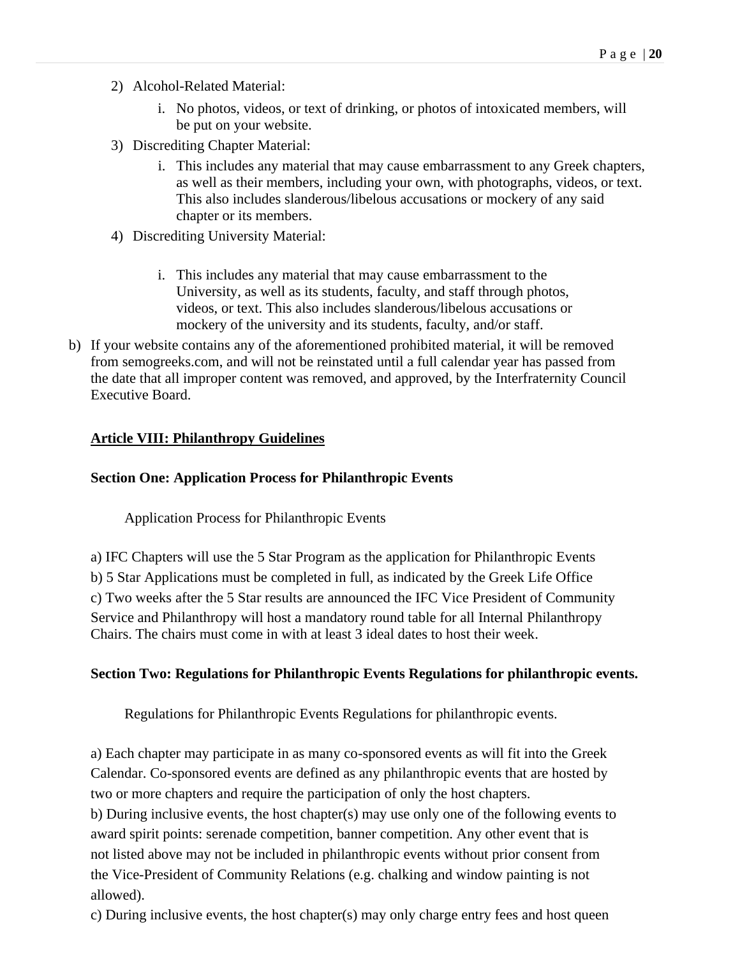- 2) Alcohol-Related Material:
	- i. No photos, videos, or text of drinking, or photos of intoxicated members, will be put on your website.
- 3) Discrediting Chapter Material:
	- i. This includes any material that may cause embarrassment to any Greek chapters, as well as their members, including your own, with photographs, videos, or text. This also includes slanderous/libelous accusations or mockery of any said chapter or its members.
- 4) Discrediting University Material:
	- i. This includes any material that may cause embarrassment to the University, as well as its students, faculty, and staff through photos, videos, or text. This also includes slanderous/libelous accusations or mockery of the university and its students, faculty, and/or staff.
- b) If your website contains any of the aforementioned prohibited material, it will be removed from semogreeks.com, and will not be reinstated until a full calendar year has passed from the date that all improper content was removed, and approved, by the Interfraternity Council Executive Board.

#### **Article VIII: Philanthropy Guidelines**

#### **Section One: Application Process for Philanthropic Events**

Application Process for Philanthropic Events

a) IFC Chapters will use the 5 Star Program as the application for Philanthropic Events b) 5 Star Applications must be completed in full, as indicated by the Greek Life Office c) Two weeks after the 5 Star results are announced the IFC Vice President of Community Service and Philanthropy will host a mandatory round table for all Internal Philanthropy Chairs. The chairs must come in with at least 3 ideal dates to host their week.

#### **Section Two: Regulations for Philanthropic Events Regulations for philanthropic events.**

Regulations for Philanthropic Events Regulations for philanthropic events.

a) Each chapter may participate in as many co-sponsored events as will fit into the Greek Calendar. Co-sponsored events are defined as any philanthropic events that are hosted by two or more chapters and require the participation of only the host chapters. b) During inclusive events, the host chapter(s) may use only one of the following events to award spirit points: serenade competition, banner competition. Any other event that is not listed above may not be included in philanthropic events without prior consent from the Vice-President of Community Relations (e.g. chalking and window painting is not allowed).

c) During inclusive events, the host chapter(s) may only charge entry fees and host queen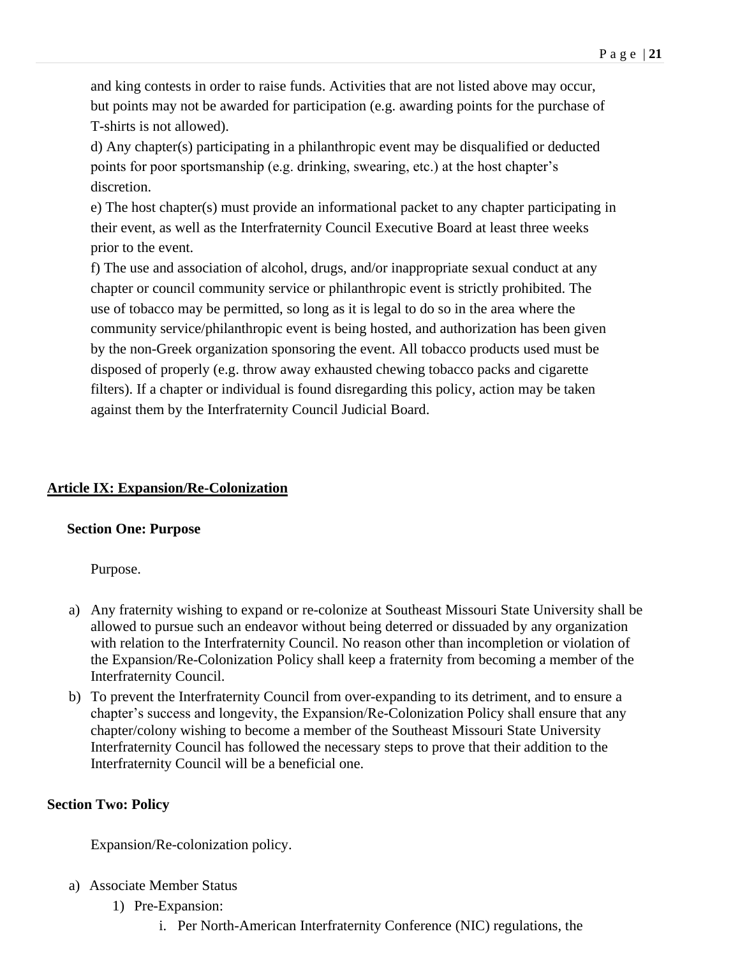and king contests in order to raise funds. Activities that are not listed above may occur, but points may not be awarded for participation (e.g. awarding points for the purchase of T-shirts is not allowed).

d) Any chapter(s) participating in a philanthropic event may be disqualified or deducted points for poor sportsmanship (e.g. drinking, swearing, etc.) at the host chapter's discretion.

e) The host chapter(s) must provide an informational packet to any chapter participating in their event, as well as the Interfraternity Council Executive Board at least three weeks prior to the event.

f) The use and association of alcohol, drugs, and/or inappropriate sexual conduct at any chapter or council community service or philanthropic event is strictly prohibited. The use of tobacco may be permitted, so long as it is legal to do so in the area where the community service/philanthropic event is being hosted, and authorization has been given by the non-Greek organization sponsoring the event. All tobacco products used must be disposed of properly (e.g. throw away exhausted chewing tobacco packs and cigarette filters). If a chapter or individual is found disregarding this policy, action may be taken against them by the Interfraternity Council Judicial Board.

# <span id="page-20-0"></span>**Article IX: Expansion/Re-Colonization**

# <span id="page-20-1"></span>**Section One: Purpose**

Purpose.

- a) Any fraternity wishing to expand or re-colonize at Southeast Missouri State University shall be allowed to pursue such an endeavor without being deterred or dissuaded by any organization with relation to the Interfraternity Council. No reason other than incompletion or violation of the Expansion/Re-Colonization Policy shall keep a fraternity from becoming a member of the Interfraternity Council.
- b) To prevent the Interfraternity Council from over-expanding to its detriment, and to ensure a chapter's success and longevity, the Expansion/Re-Colonization Policy shall ensure that any chapter/colony wishing to become a member of the Southeast Missouri State University Interfraternity Council has followed the necessary steps to prove that their addition to the Interfraternity Council will be a beneficial one.

# <span id="page-20-2"></span>**Section Two: Policy**

Expansion/Re-colonization policy.

- a) Associate Member Status
	- 1) Pre-Expansion:
		- i. Per North-American Interfraternity Conference (NIC) regulations, the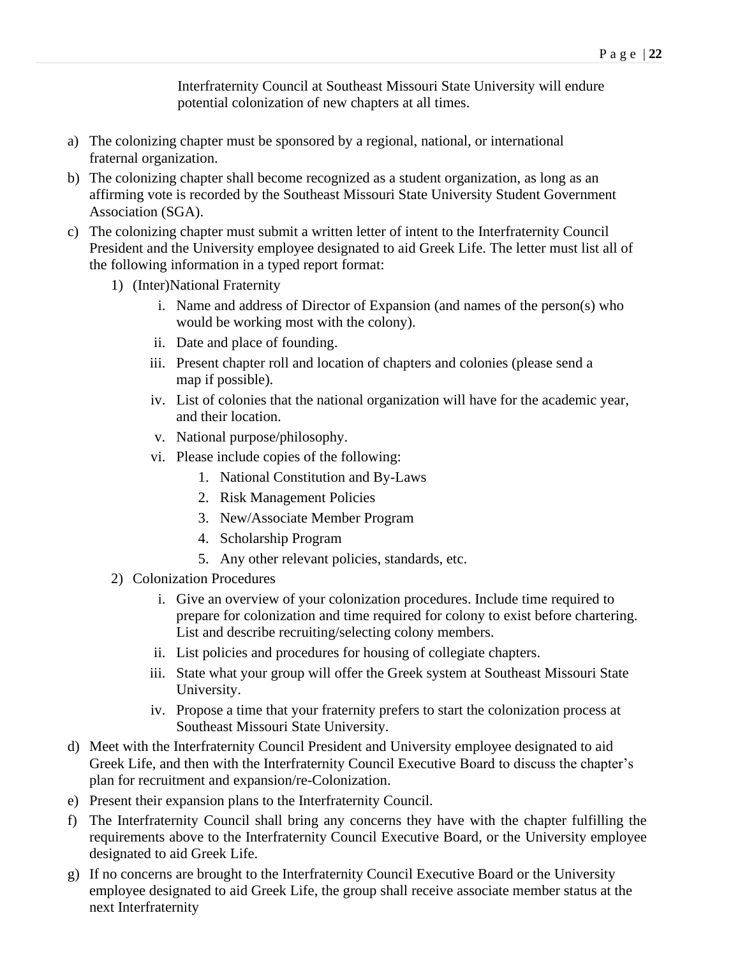Interfraternity Council at Southeast Missouri State University will endure potential colonization of new chapters at all times.

- a) The colonizing chapter must be sponsored by a regional, national, or international fraternal organization.
- b) The colonizing chapter shall become recognized as a student organization, as long as an affirming vote is recorded by the Southeast Missouri State University Student Government Association (SGA).
- c) The colonizing chapter must submit a written letter of intent to the Interfraternity Council President and the University employee designated to aid Greek Life. The letter must list all of the following information in a typed report format:
	- 1) (Inter)National Fraternity
		- i. Name and address of Director of Expansion (and names of the person(s) who would be working most with the colony).
		- ii. Date and place of founding.
		- iii. Present chapter roll and location of chapters and colonies (please send a map if possible).
		- iv. List of colonies that the national organization will have for the academic year, and their location.
		- v. National purpose/philosophy.
		- vi. Please include copies of the following:
			- 1. National Constitution and By-Laws
			- 2. Risk Management Policies
			- 3. New/Associate Member Program
			- 4. Scholarship Program
			- 5. Any other relevant policies, standards, etc.
	- 2) Colonization Procedures
		- i. Give an overview of your colonization procedures. Include time required to prepare for colonization and time required for colony to exist before chartering. List and describe recruiting/selecting colony members.
		- ii. List policies and procedures for housing of collegiate chapters.
		- iii. State what your group will offer the Greek system at Southeast Missouri State University.
		- iv. Propose a time that your fraternity prefers to start the colonization process at Southeast Missouri State University.
- d) Meet with the Interfraternity Council President and University employee designated to aid Greek Life, and then with the Interfraternity Council Executive Board to discuss the chapter's plan for recruitment and expansion/re-Colonization.
- e) Present their expansion plans to the Interfraternity Council.
- f) The Interfraternity Council shall bring any concerns they have with the chapter fulfilling the requirements above to the Interfraternity Council Executive Board, or the University employee designated to aid Greek Life.
- g) If no concerns are brought to the Interfraternity Council Executive Board or the University employee designated to aid Greek Life, the group shall receive associate member status at the next Interfraternity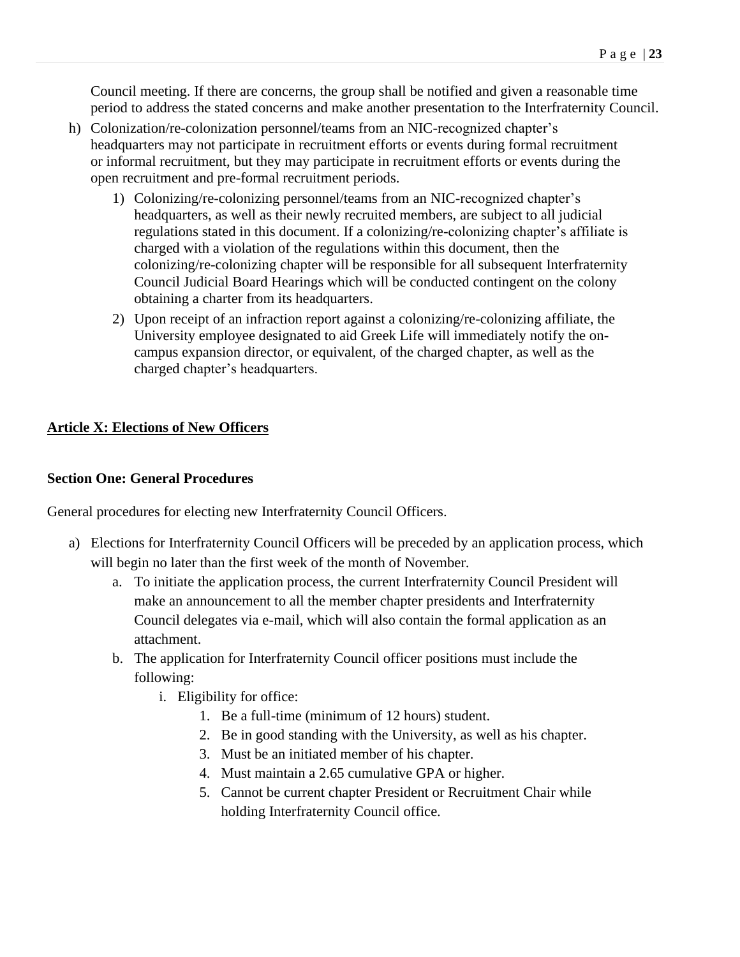Council meeting. If there are concerns, the group shall be notified and given a reasonable time period to address the stated concerns and make another presentation to the Interfraternity Council.

- h) Colonization/re-colonization personnel/teams from an NIC-recognized chapter's headquarters may not participate in recruitment efforts or events during formal recruitment or informal recruitment, but they may participate in recruitment efforts or events during the open recruitment and pre-formal recruitment periods.
	- 1) Colonizing/re-colonizing personnel/teams from an NIC-recognized chapter's headquarters, as well as their newly recruited members, are subject to all judicial regulations stated in this document. If a colonizing/re-colonizing chapter's affiliate is charged with a violation of the regulations within this document, then the colonizing/re-colonizing chapter will be responsible for all subsequent Interfraternity Council Judicial Board Hearings which will be conducted contingent on the colony obtaining a charter from its headquarters.
	- 2) Upon receipt of an infraction report against a colonizing/re-colonizing affiliate, the University employee designated to aid Greek Life will immediately notify the oncampus expansion director, or equivalent, of the charged chapter, as well as the charged chapter's headquarters.

# <span id="page-22-0"></span>**Article X: Elections of New Officers**

### **Section One: General Procedures**

General procedures for electing new Interfraternity Council Officers.

- a) Elections for Interfraternity Council Officers will be preceded by an application process, which will begin no later than the first week of the month of November.
	- a. To initiate the application process, the current Interfraternity Council President will make an announcement to all the member chapter presidents and Interfraternity Council delegates via e-mail, which will also contain the formal application as an attachment.
	- b. The application for Interfraternity Council officer positions must include the following:
		- i. Eligibility for office:
			- 1. Be a full-time (minimum of 12 hours) student.
			- 2. Be in good standing with the University, as well as his chapter.
			- 3. Must be an initiated member of his chapter.
			- 4. Must maintain a 2.65 cumulative GPA or higher.
			- 5. Cannot be current chapter President or Recruitment Chair while holding Interfraternity Council office.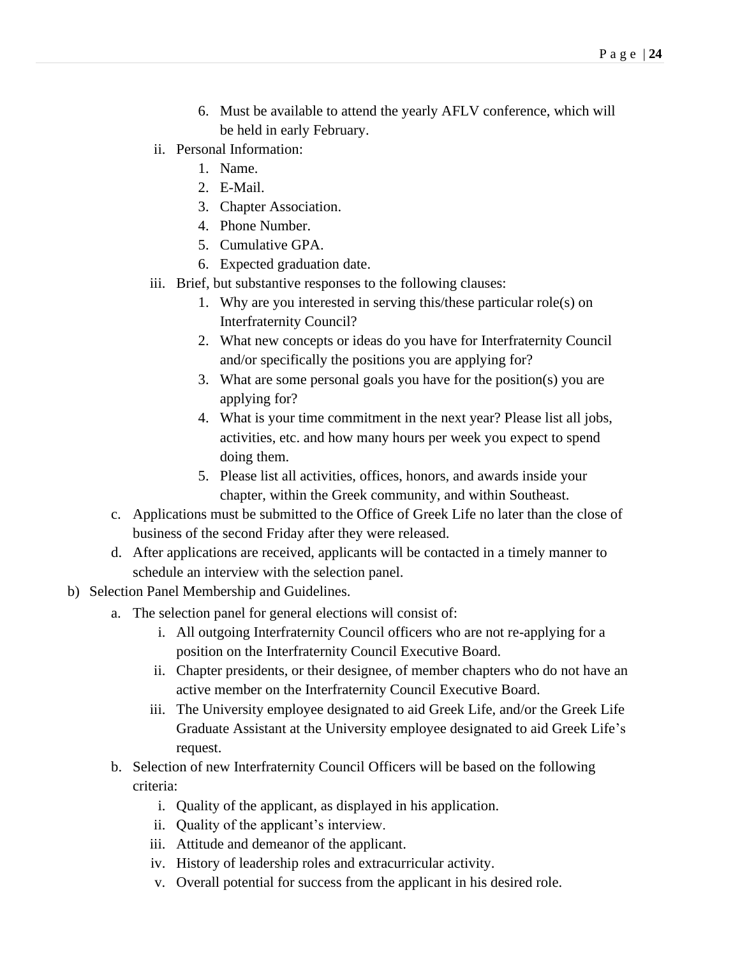- 6. Must be available to attend the yearly AFLV conference, which will be held in early February.
- ii. Personal Information:
	- 1. Name.
	- 2. E-Mail.
	- 3. Chapter Association.
	- 4. Phone Number.
	- 5. Cumulative GPA.
	- 6. Expected graduation date.
- iii. Brief, but substantive responses to the following clauses:
	- 1. Why are you interested in serving this/these particular role(s) on Interfraternity Council?
	- 2. What new concepts or ideas do you have for Interfraternity Council and/or specifically the positions you are applying for?
	- 3. What are some personal goals you have for the position(s) you are applying for?
	- 4. What is your time commitment in the next year? Please list all jobs, activities, etc. and how many hours per week you expect to spend doing them.
	- 5. Please list all activities, offices, honors, and awards inside your chapter, within the Greek community, and within Southeast.
- c. Applications must be submitted to the Office of Greek Life no later than the close of business of the second Friday after they were released.
- d. After applications are received, applicants will be contacted in a timely manner to schedule an interview with the selection panel.
- b) Selection Panel Membership and Guidelines.
	- a. The selection panel for general elections will consist of:
		- i. All outgoing Interfraternity Council officers who are not re-applying for a position on the Interfraternity Council Executive Board.
		- ii. Chapter presidents, or their designee, of member chapters who do not have an active member on the Interfraternity Council Executive Board.
		- iii. The University employee designated to aid Greek Life, and/or the Greek Life Graduate Assistant at the University employee designated to aid Greek Life's request.
	- b. Selection of new Interfraternity Council Officers will be based on the following criteria:
		- i. Quality of the applicant, as displayed in his application.
		- ii. Quality of the applicant's interview.
		- iii. Attitude and demeanor of the applicant.
		- iv. History of leadership roles and extracurricular activity.
		- v. Overall potential for success from the applicant in his desired role.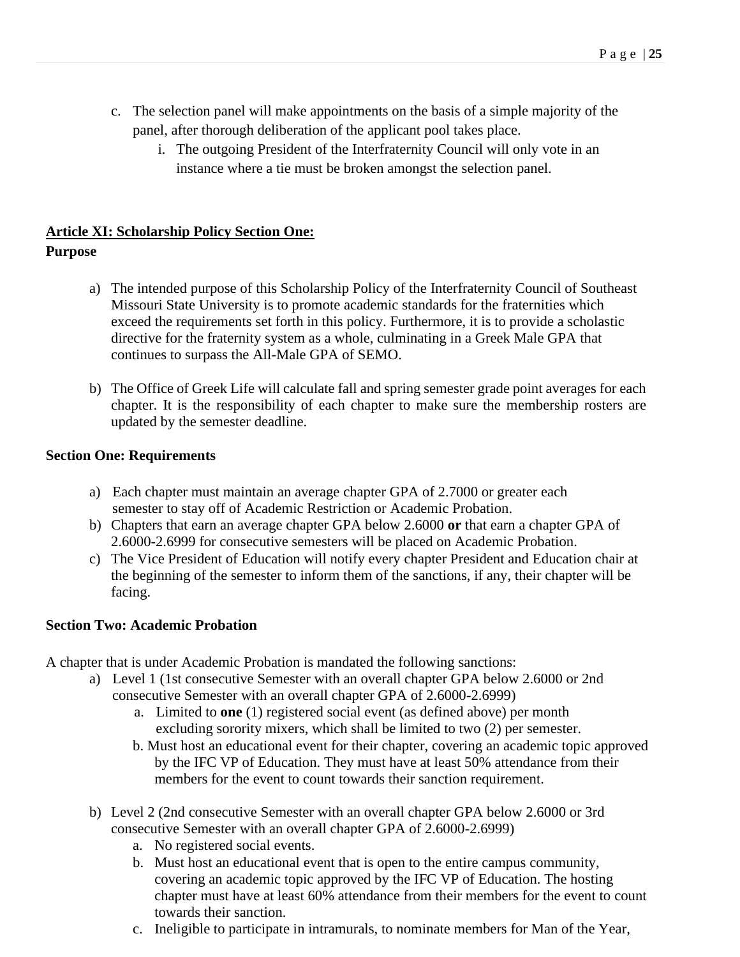- c. The selection panel will make appointments on the basis of a simple majority of the panel, after thorough deliberation of the applicant pool takes place.
	- i. The outgoing President of the Interfraternity Council will only vote in an instance where a tie must be broken amongst the selection panel.

# <span id="page-24-0"></span>**Article XI: Scholarship Policy Section One: Purpose**

- a) The intended purpose of this Scholarship Policy of the Interfraternity Council of Southeast Missouri State University is to promote academic standards for the fraternities which exceed the requirements set forth in this policy. Furthermore, it is to provide a scholastic directive for the fraternity system as a whole, culminating in a Greek Male GPA that continues to surpass the All-Male GPA of SEMO.
- b) The Office of Greek Life will calculate fall and spring semester grade point averages for each chapter. It is the responsibility of each chapter to make sure the membership rosters are updated by the semester deadline.

# <span id="page-24-1"></span>**Section One: Requirements**

- a) Each chapter must maintain an average chapter GPA of 2.7000 or greater each semester to stay off of Academic Restriction or Academic Probation.
- b) Chapters that earn an average chapter GPA below 2.6000 **or** that earn a chapter GPA of 2.6000-2.6999 for consecutive semesters will be placed on Academic Probation.
- c) The Vice President of Education will notify every chapter President and Education chair at the beginning of the semester to inform them of the sanctions, if any, their chapter will be facing.

# <span id="page-24-2"></span>**Section Two: Academic Probation**

A chapter that is under Academic Probation is mandated the following sanctions:

- a) Level 1 (1st consecutive Semester with an overall chapter GPA below 2.6000 or 2nd consecutive Semester with an overall chapter GPA of 2.6000-2.6999)
	- a. Limited to **one** (1) registered social event (as defined above) per month excluding sorority mixers, which shall be limited to two (2) per semester.
	- b. Must host an educational event for their chapter, covering an academic topic approved by the IFC VP of Education. They must have at least 50% attendance from their members for the event to count towards their sanction requirement.
- b) Level 2 (2nd consecutive Semester with an overall chapter GPA below 2.6000 or 3rd consecutive Semester with an overall chapter GPA of 2.6000-2.6999)
	- a. No registered social events.
	- b. Must host an educational event that is open to the entire campus community, covering an academic topic approved by the IFC VP of Education. The hosting chapter must have at least 60% attendance from their members for the event to count towards their sanction.
	- c. Ineligible to participate in intramurals, to nominate members for Man of the Year,